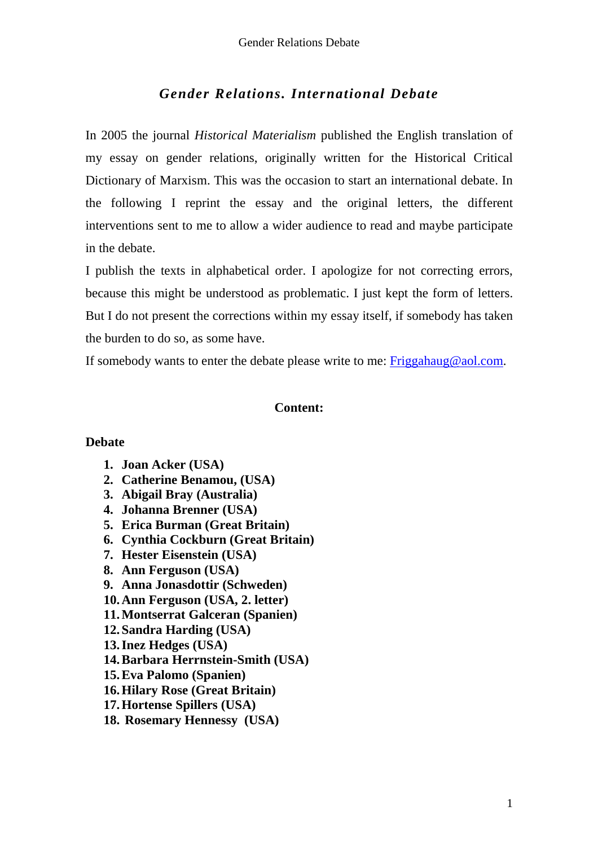# *Gender Relations. International Debate*

In 2005 the journal *Historical Materialism* published the English translation of my essay on gender relations, originally written for the Historical Critical Dictionary of Marxism. This was the occasion to start an international debate. In the following I reprint the essay and the original letters, the different interventions sent to me to allow a wider audience to read and maybe participate in the debate.

I publish the texts in alphabetical order. I apologize for not correcting errors, because this might be understood as problematic. I just kept the form of letters. But I do not present the corrections within my essay itself, if somebody has taken the burden to do so, as some have.

If somebody wants to enter the debate please write to me: Friggahaug@aol.com.

## **Content:**

## **Debate**

- **1. Joan Acker (USA)**
- **2. Catherine Benamou, (USA)**
- **3. Abigail Bray (Australia)**
- **4. Johanna Brenner (USA)**
- **5. Erica Burman (Great Britain)**
- **6. Cynthia Cockburn (Great Britain)**
- **7. Hester Eisenstein (USA)**
- **8. Ann Ferguson (USA)**
- **9. Anna Jonasdottir (Schweden)**
- **10.Ann Ferguson (USA, 2. letter)**
- **11.Montserrat Galceran (Spanien)**
- **12.Sandra Harding (USA)**
- **13.Inez Hedges (USA)**
- **14.Barbara Herrnstein-Smith (USA)**
- **15.Eva Palomo (Spanien)**
- **16.Hilary Rose (Great Britain)**
- **17.Hortense Spillers (USA)**
- **18. Rosemary Hennessy (USA)**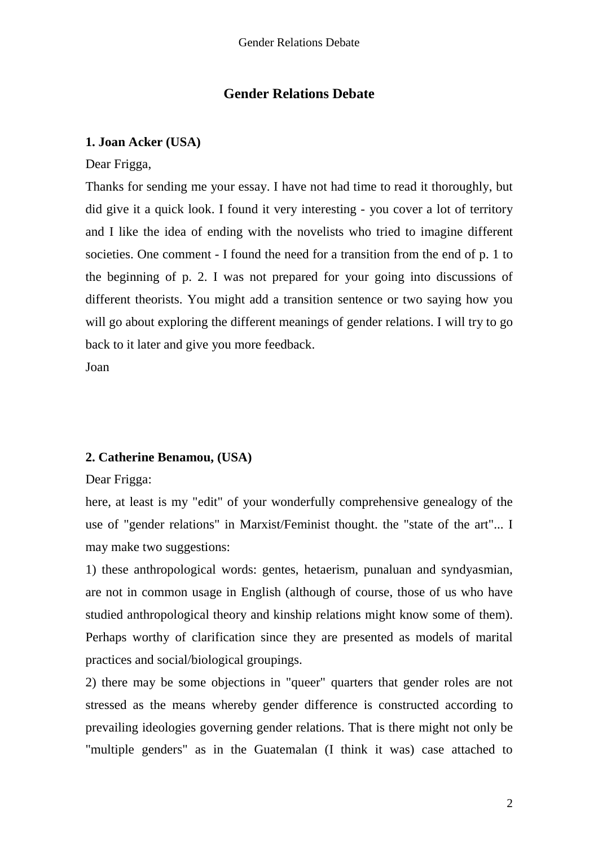# **Gender Relations Debate**

## **1. Joan Acker (USA)**

Dear Frigga,

Thanks for sending me your essay. I have not had time to read it thoroughly, but did give it a quick look. I found it very interesting - you cover a lot of territory and I like the idea of ending with the novelists who tried to imagine different societies. One comment - I found the need for a transition from the end of p. 1 to the beginning of p. 2. I was not prepared for your going into discussions of different theorists. You might add a transition sentence or two saying how you will go about exploring the different meanings of gender relations. I will try to go back to it later and give you more feedback.

Joan

# **2. Catherine Benamou, (USA)**

Dear Frigga:

here, at least is my "edit" of your wonderfully comprehensive genealogy of the use of "gender relations" in Marxist/Feminist thought. the "state of the art"... I may make two suggestions:

1) these anthropological words: gentes, hetaerism, punaluan and syndyasmian, are not in common usage in English (although of course, those of us who have studied anthropological theory and kinship relations might know some of them). Perhaps worthy of clarification since they are presented as models of marital practices and social/biological groupings.

2) there may be some objections in "queer" quarters that gender roles are not stressed as the means whereby gender difference is constructed according to prevailing ideologies governing gender relations. That is there might not only be "multiple genders" as in the Guatemalan (I think it was) case attached to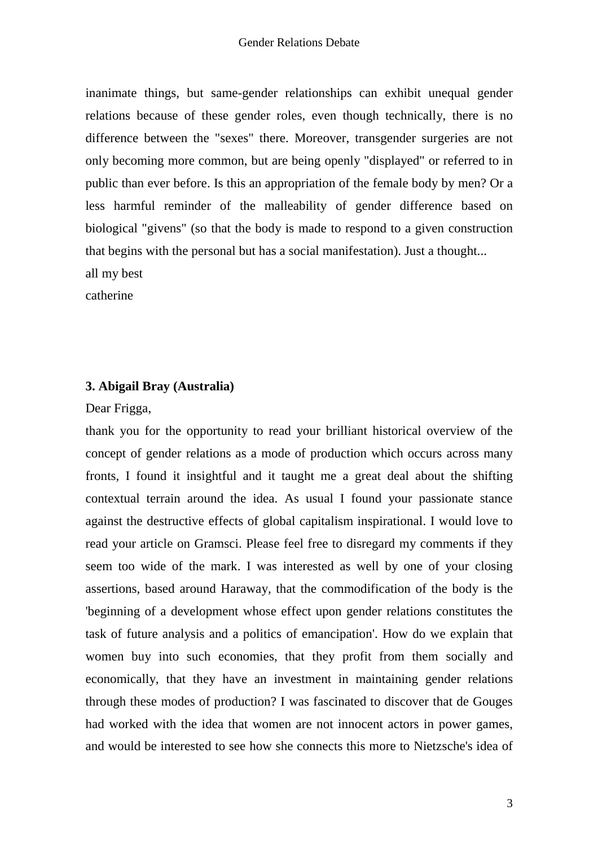inanimate things, but same-gender relationships can exhibit unequal gender relations because of these gender roles, even though technically, there is no difference between the "sexes" there. Moreover, transgender surgeries are not only becoming more common, but are being openly "displayed" or referred to in public than ever before. Is this an appropriation of the female body by men? Or a less harmful reminder of the malleability of gender difference based on biological "givens" (so that the body is made to respond to a given construction that begins with the personal but has a social manifestation). Just a thought... all my best

catherine

## **3. Abigail Bray (Australia)**

Dear Frigga,

thank you for the opportunity to read your brilliant historical overview of the concept of gender relations as a mode of production which occurs across many fronts, I found it insightful and it taught me a great deal about the shifting contextual terrain around the idea. As usual I found your passionate stance against the destructive effects of global capitalism inspirational. I would love to read your article on Gramsci. Please feel free to disregard my comments if they seem too wide of the mark. I was interested as well by one of your closing assertions, based around Haraway, that the commodification of the body is the 'beginning of a development whose effect upon gender relations constitutes the task of future analysis and a politics of emancipation'. How do we explain that women buy into such economies, that they profit from them socially and economically, that they have an investment in maintaining gender relations through these modes of production? I was fascinated to discover that de Gouges had worked with the idea that women are not innocent actors in power games, and would be interested to see how she connects this more to Nietzsche's idea of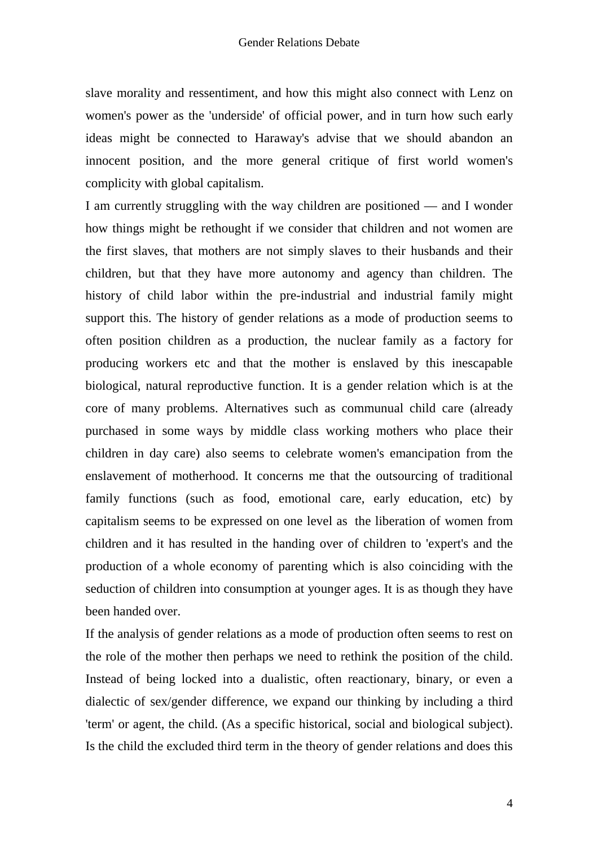slave morality and ressentiment, and how this might also connect with Lenz on women's power as the 'underside' of official power, and in turn how such early ideas might be connected to Haraway's advise that we should abandon an innocent position, and the more general critique of first world women's complicity with global capitalism.

I am currently struggling with the way children are positioned — and I wonder how things might be rethought if we consider that children and not women are the first slaves, that mothers are not simply slaves to their husbands and their children, but that they have more autonomy and agency than children. The history of child labor within the pre-industrial and industrial family might support this. The history of gender relations as a mode of production seems to often position children as a production, the nuclear family as a factory for producing workers etc and that the mother is enslaved by this inescapable biological, natural reproductive function. It is a gender relation which is at the core of many problems. Alternatives such as communual child care (already purchased in some ways by middle class working mothers who place their children in day care) also seems to celebrate women's emancipation from the enslavement of motherhood. It concerns me that the outsourcing of traditional family functions (such as food, emotional care, early education, etc) by capitalism seems to be expressed on one level as the liberation of women from children and it has resulted in the handing over of children to 'expert's and the production of a whole economy of parenting which is also coinciding with the seduction of children into consumption at younger ages. It is as though they have been handed over.

If the analysis of gender relations as a mode of production often seems to rest on the role of the mother then perhaps we need to rethink the position of the child. Instead of being locked into a dualistic, often reactionary, binary, or even a dialectic of sex/gender difference, we expand our thinking by including a third 'term' or agent, the child. (As a specific historical, social and biological subject). Is the child the excluded third term in the theory of gender relations and does this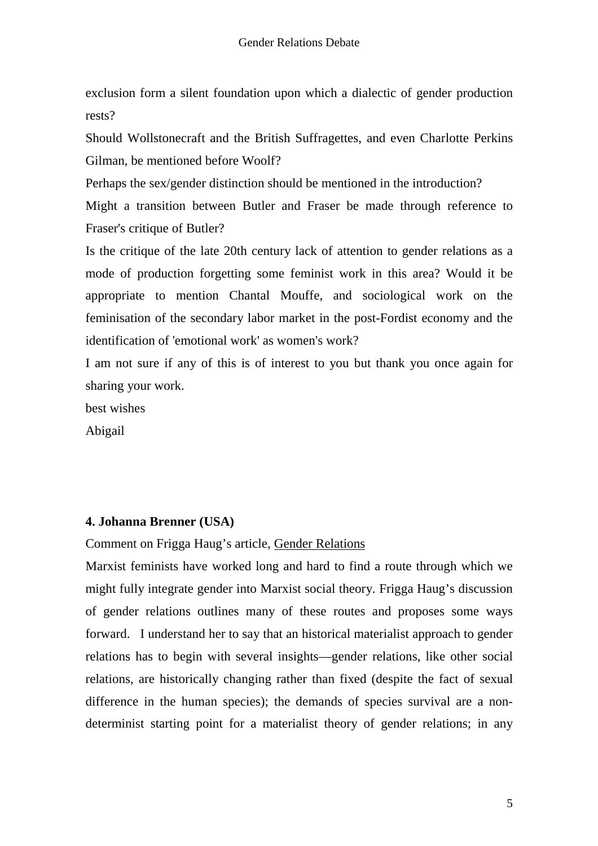exclusion form a silent foundation upon which a dialectic of gender production rests?

Should Wollstonecraft and the British Suffragettes, and even Charlotte Perkins Gilman, be mentioned before Woolf?

Perhaps the sex/gender distinction should be mentioned in the introduction?

Might a transition between Butler and Fraser be made through reference to Fraser's critique of Butler?

Is the critique of the late 20th century lack of attention to gender relations as a mode of production forgetting some feminist work in this area? Would it be appropriate to mention Chantal Mouffe, and sociological work on the feminisation of the secondary labor market in the post-Fordist economy and the identification of 'emotional work' as women's work?

I am not sure if any of this is of interest to you but thank you once again for sharing your work.

best wishes

Abigail

## **4. Johanna Brenner (USA)**

Comment on Frigga Haug's article, Gender Relations

Marxist feminists have worked long and hard to find a route through which we might fully integrate gender into Marxist social theory. Frigga Haug's discussion of gender relations outlines many of these routes and proposes some ways forward. I understand her to say that an historical materialist approach to gender relations has to begin with several insights—gender relations, like other social relations, are historically changing rather than fixed (despite the fact of sexual difference in the human species); the demands of species survival are a nondeterminist starting point for a materialist theory of gender relations; in any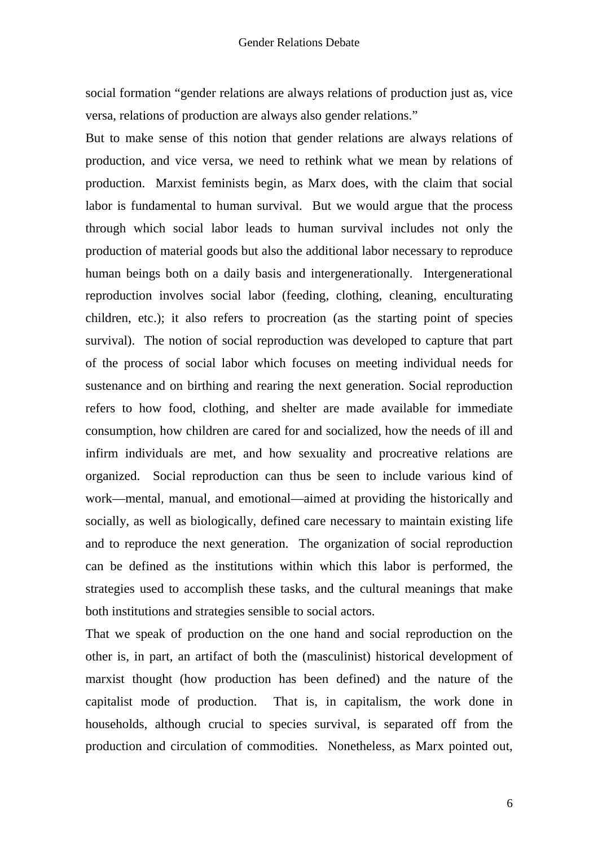social formation "gender relations are always relations of production just as, vice versa, relations of production are always also gender relations."

But to make sense of this notion that gender relations are always relations of production, and vice versa, we need to rethink what we mean by relations of production. Marxist feminists begin, as Marx does, with the claim that social labor is fundamental to human survival. But we would argue that the process through which social labor leads to human survival includes not only the production of material goods but also the additional labor necessary to reproduce human beings both on a daily basis and intergenerationally. Intergenerational reproduction involves social labor (feeding, clothing, cleaning, enculturating children, etc.); it also refers to procreation (as the starting point of species survival). The notion of social reproduction was developed to capture that part of the process of social labor which focuses on meeting individual needs for sustenance and on birthing and rearing the next generation. Social reproduction refers to how food, clothing, and shelter are made available for immediate consumption, how children are cared for and socialized, how the needs of ill and infirm individuals are met, and how sexuality and procreative relations are organized. Social reproduction can thus be seen to include various kind of work—mental, manual, and emotional—aimed at providing the historically and socially, as well as biologically, defined care necessary to maintain existing life and to reproduce the next generation. The organization of social reproduction can be defined as the institutions within which this labor is performed, the strategies used to accomplish these tasks, and the cultural meanings that make both institutions and strategies sensible to social actors.

That we speak of production on the one hand and social reproduction on the other is, in part, an artifact of both the (masculinist) historical development of marxist thought (how production has been defined) and the nature of the capitalist mode of production. That is, in capitalism, the work done in households, although crucial to species survival, is separated off from the production and circulation of commodities. Nonetheless, as Marx pointed out,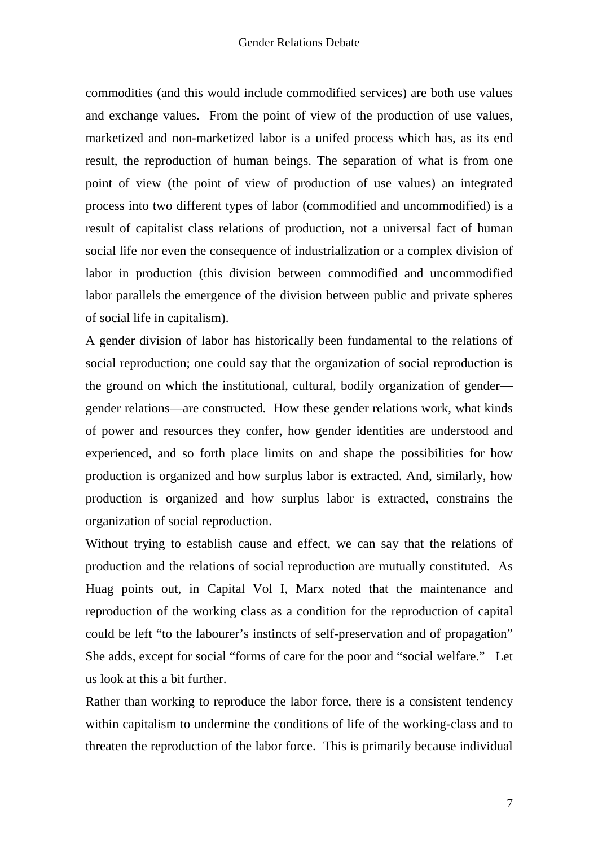commodities (and this would include commodified services) are both use values and exchange values. From the point of view of the production of use values, marketized and non-marketized labor is a unifed process which has, as its end result, the reproduction of human beings. The separation of what is from one point of view (the point of view of production of use values) an integrated process into two different types of labor (commodified and uncommodified) is a result of capitalist class relations of production, not a universal fact of human social life nor even the consequence of industrialization or a complex division of labor in production (this division between commodified and uncommodified labor parallels the emergence of the division between public and private spheres of social life in capitalism).

A gender division of labor has historically been fundamental to the relations of social reproduction; one could say that the organization of social reproduction is the ground on which the institutional, cultural, bodily organization of gender gender relations—are constructed. How these gender relations work, what kinds of power and resources they confer, how gender identities are understood and experienced, and so forth place limits on and shape the possibilities for how production is organized and how surplus labor is extracted. And, similarly, how production is organized and how surplus labor is extracted, constrains the organization of social reproduction.

Without trying to establish cause and effect, we can say that the relations of production and the relations of social reproduction are mutually constituted. As Huag points out, in Capital Vol I, Marx noted that the maintenance and reproduction of the working class as a condition for the reproduction of capital could be left "to the labourer's instincts of self-preservation and of propagation" She adds, except for social "forms of care for the poor and "social welfare." Let us look at this a bit further.

Rather than working to reproduce the labor force, there is a consistent tendency within capitalism to undermine the conditions of life of the working-class and to threaten the reproduction of the labor force. This is primarily because individual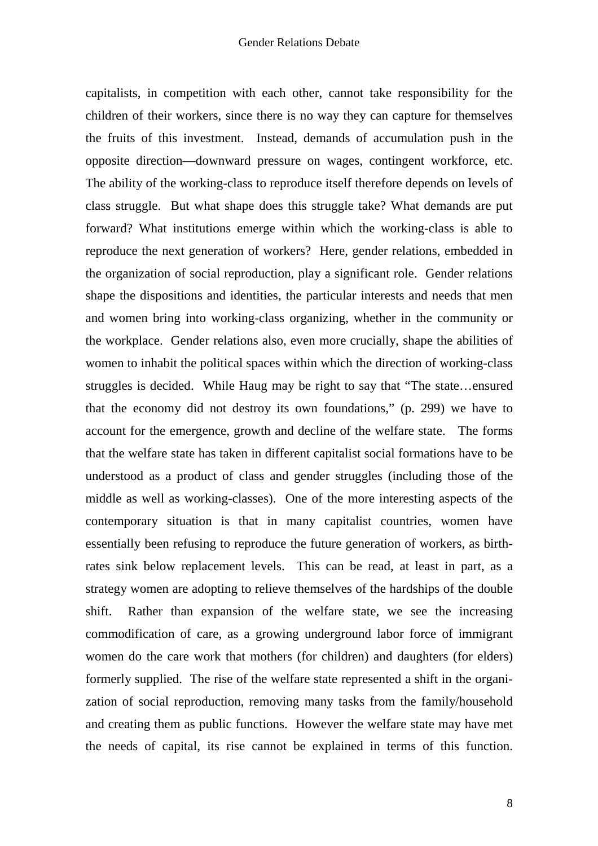capitalists, in competition with each other, cannot take responsibility for the children of their workers, since there is no way they can capture for themselves the fruits of this investment. Instead, demands of accumulation push in the opposite direction—downward pressure on wages, contingent workforce, etc. The ability of the working-class to reproduce itself therefore depends on levels of class struggle. But what shape does this struggle take? What demands are put forward? What institutions emerge within which the working-class is able to reproduce the next generation of workers? Here, gender relations, embedded in the organization of social reproduction, play a significant role. Gender relations shape the dispositions and identities, the particular interests and needs that men and women bring into working-class organizing, whether in the community or the workplace. Gender relations also, even more crucially, shape the abilities of women to inhabit the political spaces within which the direction of working-class struggles is decided. While Haug may be right to say that "The state…ensured that the economy did not destroy its own foundations," (p. 299) we have to account for the emergence, growth and decline of the welfare state. The forms that the welfare state has taken in different capitalist social formations have to be understood as a product of class and gender struggles (including those of the middle as well as working-classes). One of the more interesting aspects of the contemporary situation is that in many capitalist countries, women have essentially been refusing to reproduce the future generation of workers, as birthrates sink below replacement levels. This can be read, at least in part, as a strategy women are adopting to relieve themselves of the hardships of the double shift. Rather than expansion of the welfare state, we see the increasing commodification of care, as a growing underground labor force of immigrant women do the care work that mothers (for children) and daughters (for elders) formerly supplied. The rise of the welfare state represented a shift in the organization of social reproduction, removing many tasks from the family/household and creating them as public functions. However the welfare state may have met the needs of capital, its rise cannot be explained in terms of this function.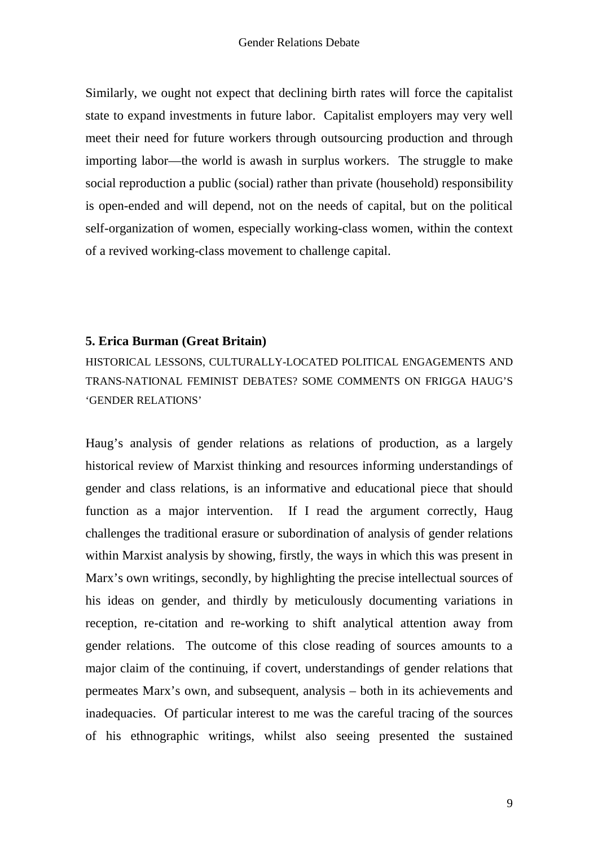Similarly, we ought not expect that declining birth rates will force the capitalist state to expand investments in future labor. Capitalist employers may very well meet their need for future workers through outsourcing production and through importing labor—the world is awash in surplus workers. The struggle to make social reproduction a public (social) rather than private (household) responsibility is open-ended and will depend, not on the needs of capital, but on the political self-organization of women, especially working-class women, within the context of a revived working-class movement to challenge capital.

# **5. Erica Burman (Great Britain)**

HISTORICAL LESSONS, CULTURALLY-LOCATED POLITICAL ENGAGEMENTS AND TRANS-NATIONAL FEMINIST DEBATES? SOME COMMENTS ON FRIGGA HAUG'S 'GENDER RELATIONS'

Haug's analysis of gender relations as relations of production, as a largely historical review of Marxist thinking and resources informing understandings of gender and class relations, is an informative and educational piece that should function as a major intervention. If I read the argument correctly, Haug challenges the traditional erasure or subordination of analysis of gender relations within Marxist analysis by showing, firstly, the ways in which this was present in Marx's own writings, secondly, by highlighting the precise intellectual sources of his ideas on gender, and thirdly by meticulously documenting variations in reception, re-citation and re-working to shift analytical attention away from gender relations. The outcome of this close reading of sources amounts to a major claim of the continuing, if covert, understandings of gender relations that permeates Marx's own, and subsequent, analysis – both in its achievements and inadequacies. Of particular interest to me was the careful tracing of the sources of his ethnographic writings, whilst also seeing presented the sustained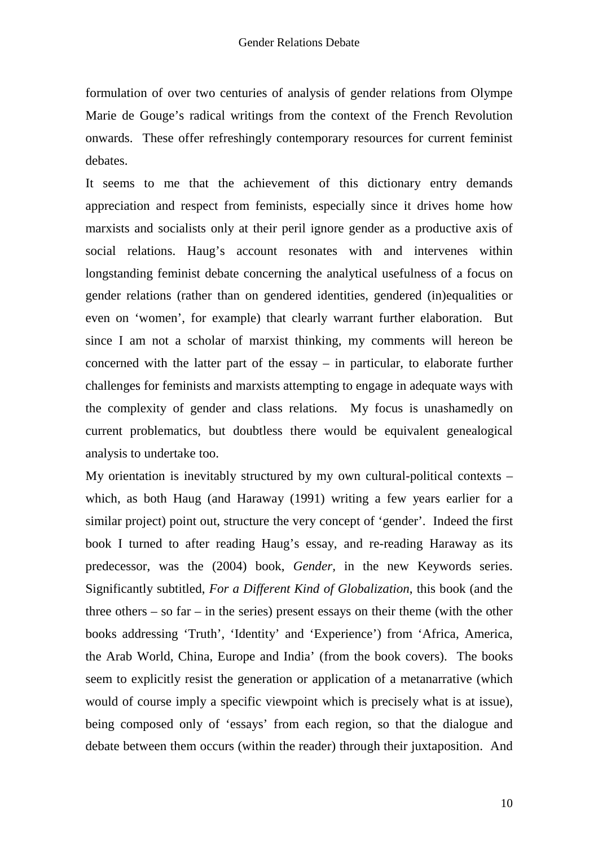formulation of over two centuries of analysis of gender relations from Olympe Marie de Gouge's radical writings from the context of the French Revolution onwards. These offer refreshingly contemporary resources for current feminist debates.

It seems to me that the achievement of this dictionary entry demands appreciation and respect from feminists, especially since it drives home how marxists and socialists only at their peril ignore gender as a productive axis of social relations. Haug's account resonates with and intervenes within longstanding feminist debate concerning the analytical usefulness of a focus on gender relations (rather than on gendered identities, gendered (in)equalities or even on 'women', for example) that clearly warrant further elaboration. But since I am not a scholar of marxist thinking, my comments will hereon be concerned with the latter part of the essay – in particular, to elaborate further challenges for feminists and marxists attempting to engage in adequate ways with the complexity of gender and class relations. My focus is unashamedly on current problematics, but doubtless there would be equivalent genealogical analysis to undertake too.

My orientation is inevitably structured by my own cultural-political contexts – which, as both Haug (and Haraway (1991) writing a few years earlier for a similar project) point out, structure the very concept of 'gender'. Indeed the first book I turned to after reading Haug's essay, and re-reading Haraway as its predecessor, was the (2004) book, *Gender,* in the new Keywords series. Significantly subtitled, *For a Different Kind of Globalization*, this book (and the three others – so far – in the series) present essays on their theme (with the other books addressing 'Truth', 'Identity' and 'Experience') from 'Africa, America, the Arab World, China, Europe and India' (from the book covers). The books seem to explicitly resist the generation or application of a metanarrative (which would of course imply a specific viewpoint which is precisely what is at issue), being composed only of 'essays' from each region, so that the dialogue and debate between them occurs (within the reader) through their juxtaposition. And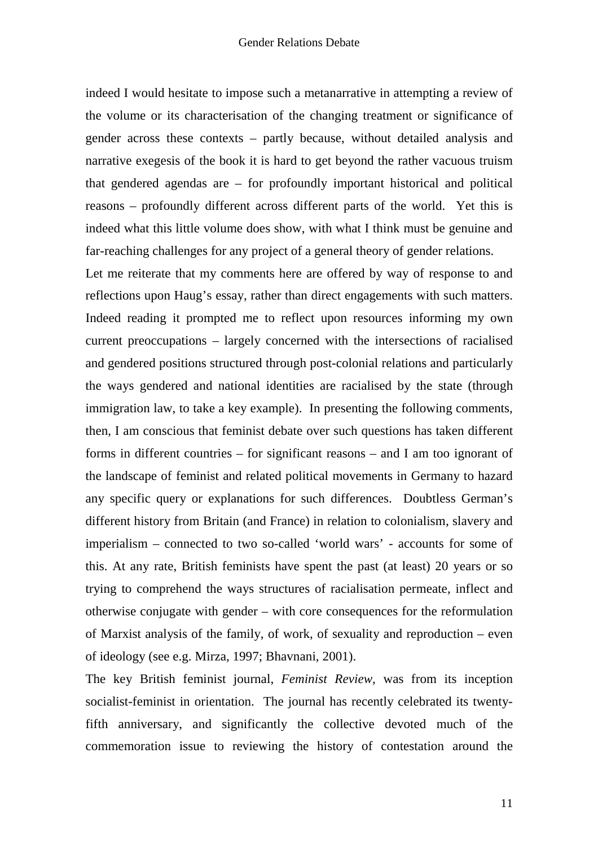indeed I would hesitate to impose such a metanarrative in attempting a review of the volume or its characterisation of the changing treatment or significance of gender across these contexts – partly because, without detailed analysis and narrative exegesis of the book it is hard to get beyond the rather vacuous truism that gendered agendas are – for profoundly important historical and political reasons – profoundly different across different parts of the world. Yet this is indeed what this little volume does show, with what I think must be genuine and far-reaching challenges for any project of a general theory of gender relations.

Let me reiterate that my comments here are offered by way of response to and reflections upon Haug's essay, rather than direct engagements with such matters. Indeed reading it prompted me to reflect upon resources informing my own current preoccupations – largely concerned with the intersections of racialised and gendered positions structured through post-colonial relations and particularly the ways gendered and national identities are racialised by the state (through immigration law, to take a key example). In presenting the following comments, then, I am conscious that feminist debate over such questions has taken different forms in different countries – for significant reasons – and I am too ignorant of the landscape of feminist and related political movements in Germany to hazard any specific query or explanations for such differences. Doubtless German's different history from Britain (and France) in relation to colonialism, slavery and imperialism – connected to two so-called 'world wars' - accounts for some of this. At any rate, British feminists have spent the past (at least) 20 years or so trying to comprehend the ways structures of racialisation permeate, inflect and otherwise conjugate with gender – with core consequences for the reformulation of Marxist analysis of the family, of work, of sexuality and reproduction – even of ideology (see e.g. Mirza, 1997; Bhavnani, 2001).

The key British feminist journal, *Feminist Review,* was from its inception socialist-feminist in orientation. The journal has recently celebrated its twentyfifth anniversary, and significantly the collective devoted much of the commemoration issue to reviewing the history of contestation around the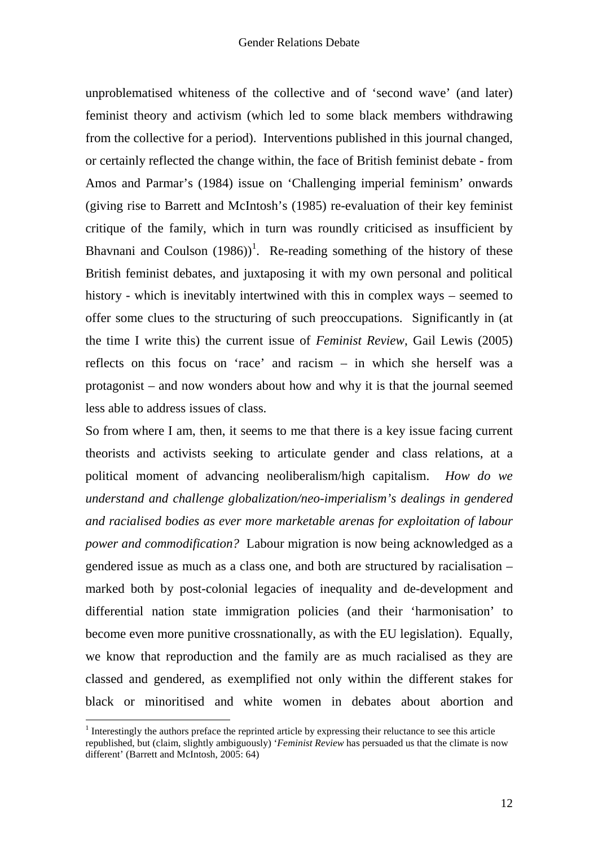unproblematised whiteness of the collective and of 'second wave' (and later) feminist theory and activism (which led to some black members withdrawing from the collective for a period). Interventions published in this journal changed, or certainly reflected the change within, the face of British feminist debate - from Amos and Parmar's (1984) issue on 'Challenging imperial feminism' onwards (giving rise to Barrett and McIntosh's (1985) re-evaluation of their key feminist critique of the family, which in turn was roundly criticised as insufficient by Bhavnani and Coulson  $(1986)$ <sup>1</sup>. Re-reading something of the history of these British feminist debates, and juxtaposing it with my own personal and political history - which is inevitably intertwined with this in complex ways – seemed to offer some clues to the structuring of such preoccupations. Significantly in (at the time I write this) the current issue of *Feminist Review*, Gail Lewis (2005) reflects on this focus on 'race' and racism – in which she herself was a protagonist – and now wonders about how and why it is that the journal seemed less able to address issues of class.

So from where I am, then, it seems to me that there is a key issue facing current theorists and activists seeking to articulate gender and class relations, at a political moment of advancing neoliberalism/high capitalism. *How do we understand and challenge globalization/neo-imperialism's dealings in gendered and racialised bodies as ever more marketable arenas for exploitation of labour power and commodification?* Labour migration is now being acknowledged as a gendered issue as much as a class one, and both are structured by racialisation – marked both by post-colonial legacies of inequality and de-development and differential nation state immigration policies (and their 'harmonisation' to become even more punitive crossnationally, as with the EU legislation). Equally, we know that reproduction and the family are as much racialised as they are classed and gendered, as exemplified not only within the different stakes for black or minoritised and white women in debates about abortion and

 $\overline{a}$ 

<sup>&</sup>lt;sup>1</sup> Interestingly the authors preface the reprinted article by expressing their reluctance to see this article republished, but (claim, slightly ambiguously) '*Feminist Review* has persuaded us that the climate is now different' (Barrett and McIntosh, 2005: 64)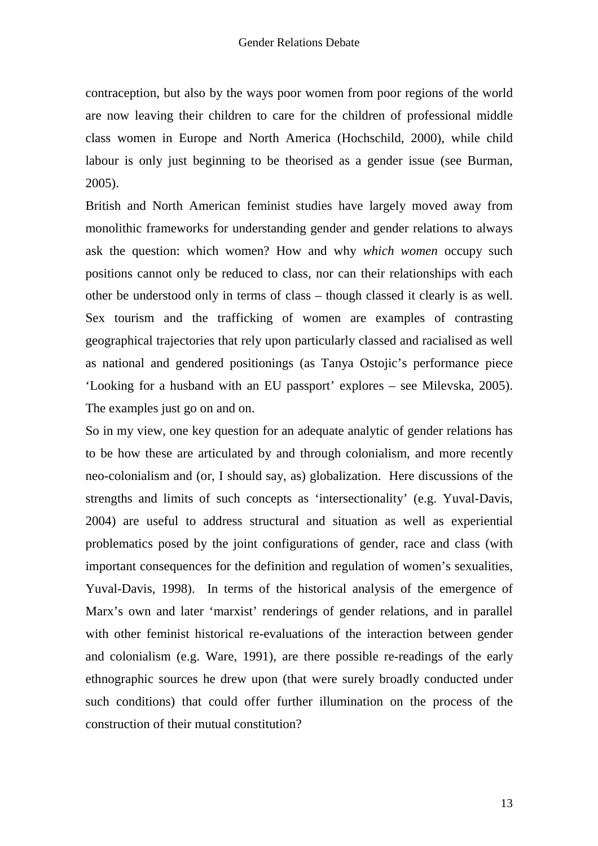contraception, but also by the ways poor women from poor regions of the world are now leaving their children to care for the children of professional middle class women in Europe and North America (Hochschild, 2000), while child labour is only just beginning to be theorised as a gender issue (see Burman, 2005).

British and North American feminist studies have largely moved away from monolithic frameworks for understanding gender and gender relations to always ask the question: which women? How and why *which women* occupy such positions cannot only be reduced to class, nor can their relationships with each other be understood only in terms of class – though classed it clearly is as well. Sex tourism and the trafficking of women are examples of contrasting geographical trajectories that rely upon particularly classed and racialised as well as national and gendered positionings (as Tanya Ostojic's performance piece 'Looking for a husband with an EU passport' explores – see Milevska, 2005). The examples just go on and on.

So in my view, one key question for an adequate analytic of gender relations has to be how these are articulated by and through colonialism, and more recently neo-colonialism and (or, I should say, as) globalization. Here discussions of the strengths and limits of such concepts as 'intersectionality' (e.g. Yuval-Davis, 2004) are useful to address structural and situation as well as experiential problematics posed by the joint configurations of gender, race and class (with important consequences for the definition and regulation of women's sexualities, Yuval-Davis, 1998). In terms of the historical analysis of the emergence of Marx's own and later 'marxist' renderings of gender relations, and in parallel with other feminist historical re-evaluations of the interaction between gender and colonialism (e.g. Ware, 1991), are there possible re-readings of the early ethnographic sources he drew upon (that were surely broadly conducted under such conditions) that could offer further illumination on the process of the construction of their mutual constitution?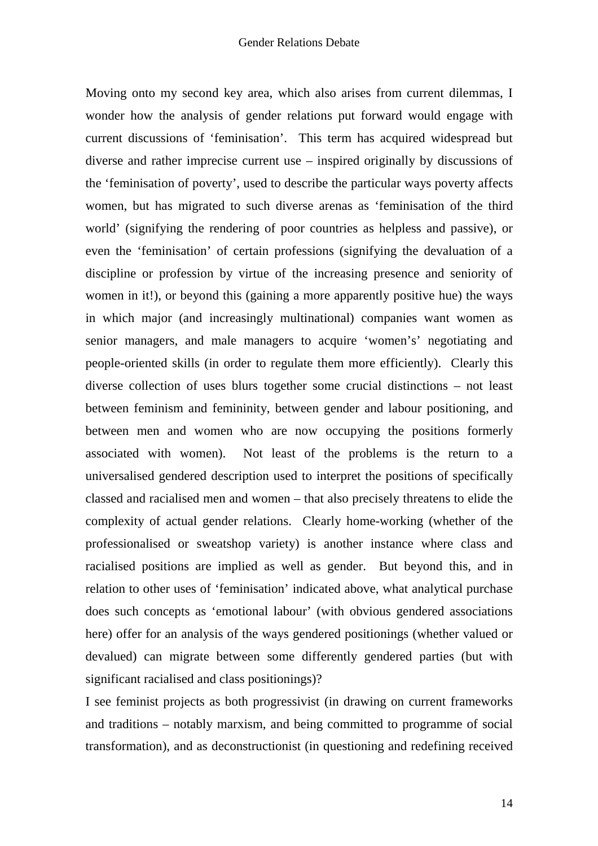Moving onto my second key area, which also arises from current dilemmas, I wonder how the analysis of gender relations put forward would engage with current discussions of 'feminisation'. This term has acquired widespread but diverse and rather imprecise current use – inspired originally by discussions of the 'feminisation of poverty', used to describe the particular ways poverty affects women, but has migrated to such diverse arenas as 'feminisation of the third world' (signifying the rendering of poor countries as helpless and passive), or even the 'feminisation' of certain professions (signifying the devaluation of a discipline or profession by virtue of the increasing presence and seniority of women in it!), or beyond this (gaining a more apparently positive hue) the ways in which major (and increasingly multinational) companies want women as senior managers, and male managers to acquire 'women's' negotiating and people-oriented skills (in order to regulate them more efficiently). Clearly this diverse collection of uses blurs together some crucial distinctions – not least between feminism and femininity, between gender and labour positioning, and between men and women who are now occupying the positions formerly associated with women). Not least of the problems is the return to a universalised gendered description used to interpret the positions of specifically classed and racialised men and women – that also precisely threatens to elide the complexity of actual gender relations. Clearly home-working (whether of the professionalised or sweatshop variety) is another instance where class and racialised positions are implied as well as gender. But beyond this, and in relation to other uses of 'feminisation' indicated above, what analytical purchase does such concepts as 'emotional labour' (with obvious gendered associations here) offer for an analysis of the ways gendered positionings (whether valued or devalued) can migrate between some differently gendered parties (but with significant racialised and class positionings)?

I see feminist projects as both progressivist (in drawing on current frameworks and traditions – notably marxism, and being committed to programme of social transformation), and as deconstructionist (in questioning and redefining received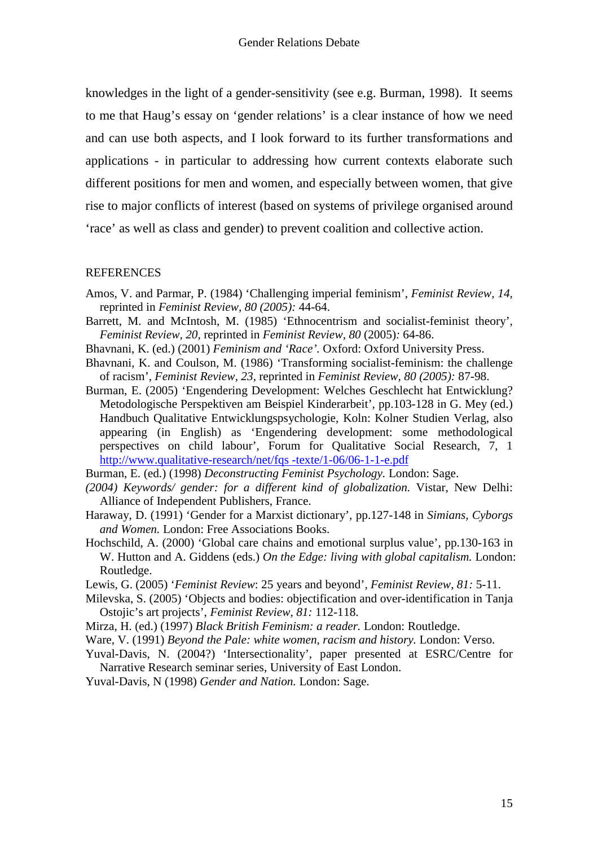knowledges in the light of a gender-sensitivity (see e.g. Burman, 1998). It seems to me that Haug's essay on 'gender relations' is a clear instance of how we need and can use both aspects, and I look forward to its further transformations and applications - in particular to addressing how current contexts elaborate such different positions for men and women, and especially between women, that give rise to major conflicts of interest (based on systems of privilege organised around 'race' as well as class and gender) to prevent coalition and collective action.

#### **REFERENCES**

- Amos, V. and Parmar, P. (1984) 'Challenging imperial feminism', *Feminist Review, 14,*  reprinted in *Feminist Review, 80 (2005):* 44-64.
- Barrett, M. and McIntosh, M. (1985) 'Ethnocentrism and socialist-feminist theory', *Feminist Review, 20,* reprinted in *Feminist Review, 80* (2005)*:* 64-86.
- Bhavnani, K. (ed.) (2001) *Feminism and 'Race'.* Oxford: Oxford University Press.
- Bhavnani, K. and Coulson, M. (1986) 'Transforming socialist-feminism: the challenge of racism', *Feminist Review, 23,* reprinted in *Feminist Review, 80 (2005):* 87-98.
- Burman, E. (2005) 'Engendering Development: Welches Geschlecht hat Entwicklung? Metodologische Perspektiven am Beispiel Kinderarbeit', pp.103-128 in G. Mey (ed.) Handbuch Qualitative Entwicklungspsychologie, Koln: Kolner Studien Verlag, also appearing (in English) as 'Engendering development: some methodological perspectives on child labour', Forum for Qualitative Social Research, 7, 1 http://www.qualitative-research/net/fqs -texte/1-06/06-1-1-e.pdf
- Burman, E. (ed.) (1998) *Deconstructing Feminist Psychology.* London: Sage.
- *(2004) Keywords/ gender: for a different kind of globalization.* Vistar, New Delhi: Alliance of Independent Publishers, France.
- Haraway, D. (1991) 'Gender for a Marxist dictionary', pp.127-148 in *Simians, Cyborgs and Women.* London: Free Associations Books.
- Hochschild, A. (2000) 'Global care chains and emotional surplus value', pp.130-163 in W. Hutton and A. Giddens (eds.) *On the Edge: living with global capitalism.* London: Routledge.
- Lewis, G. (2005) '*Feminist Review*: 25 years and beyond', *Feminist Review, 81:* 5-11.
- Milevska, S. (2005) 'Objects and bodies: objectification and over-identification in Tanja Ostojic's art projects', *Feminist Review, 81:* 112-118.
- Mirza, H. (ed.) (1997) *Black British Feminism: a reader.* London: Routledge.
- Ware, V. (1991) *Beyond the Pale: white women, racism and history.* London: Verso.
- Yuval-Davis, N. (2004?) 'Intersectionality', paper presented at ESRC/Centre for Narrative Research seminar series, University of East London.
- Yuval-Davis, N (1998) *Gender and Nation.* London: Sage.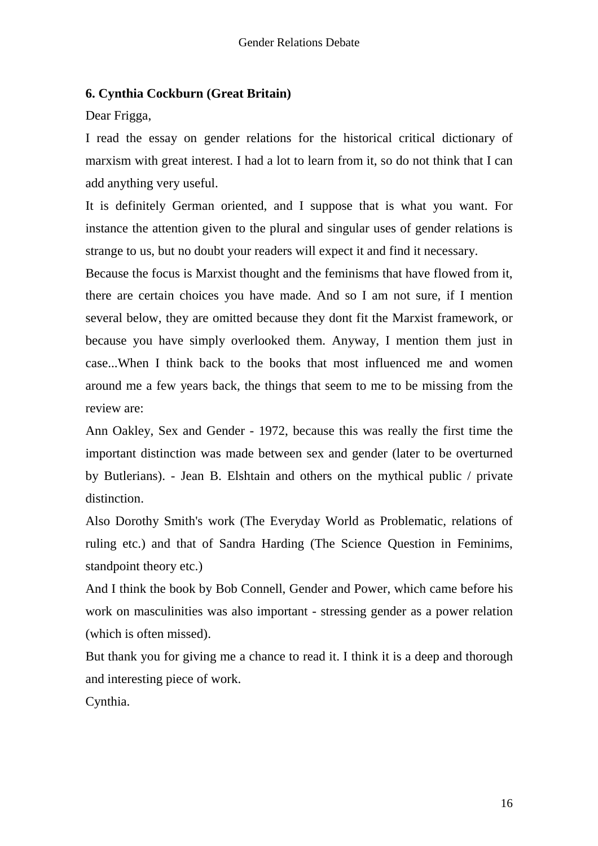# **6. Cynthia Cockburn (Great Britain)**

Dear Frigga,

I read the essay on gender relations for the historical critical dictionary of marxism with great interest. I had a lot to learn from it, so do not think that I can add anything very useful.

It is definitely German oriented, and I suppose that is what you want. For instance the attention given to the plural and singular uses of gender relations is strange to us, but no doubt your readers will expect it and find it necessary.

Because the focus is Marxist thought and the feminisms that have flowed from it, there are certain choices you have made. And so I am not sure, if I mention several below, they are omitted because they dont fit the Marxist framework, or because you have simply overlooked them. Anyway, I mention them just in case...When I think back to the books that most influenced me and women around me a few years back, the things that seem to me to be missing from the review are:

Ann Oakley, Sex and Gender - 1972, because this was really the first time the important distinction was made between sex and gender (later to be overturned by Butlerians). - Jean B. Elshtain and others on the mythical public / private distinction.

Also Dorothy Smith's work (The Everyday World as Problematic, relations of ruling etc.) and that of Sandra Harding (The Science Question in Feminims, standpoint theory etc.)

And I think the book by Bob Connell, Gender and Power, which came before his work on masculinities was also important - stressing gender as a power relation (which is often missed).

But thank you for giving me a chance to read it. I think it is a deep and thorough and interesting piece of work.

Cynthia.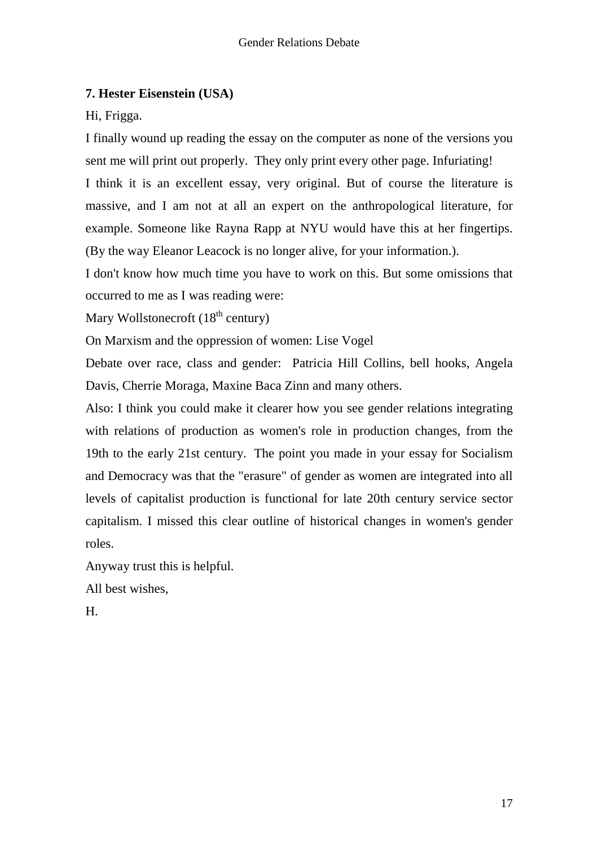# **7. Hester Eisenstein (USA)**

Hi, Frigga.

I finally wound up reading the essay on the computer as none of the versions you sent me will print out properly. They only print every other page. Infuriating! I think it is an excellent essay, very original. But of course the literature is massive, and I am not at all an expert on the anthropological literature, for example. Someone like Rayna Rapp at NYU would have this at her fingertips. (By the way Eleanor Leacock is no longer alive, for your information.).

I don't know how much time you have to work on this. But some omissions that occurred to me as I was reading were:

Mary Wollstonecroft  $(18<sup>th</sup>$  century)

On Marxism and the oppression of women: Lise Vogel

Debate over race, class and gender: Patricia Hill Collins, bell hooks, Angela Davis, Cherrie Moraga, Maxine Baca Zinn and many others.

Also: I think you could make it clearer how you see gender relations integrating with relations of production as women's role in production changes, from the 19th to the early 21st century. The point you made in your essay for Socialism and Democracy was that the "erasure" of gender as women are integrated into all levels of capitalist production is functional for late 20th century service sector capitalism. I missed this clear outline of historical changes in women's gender roles.

Anyway trust this is helpful.

All best wishes,

H.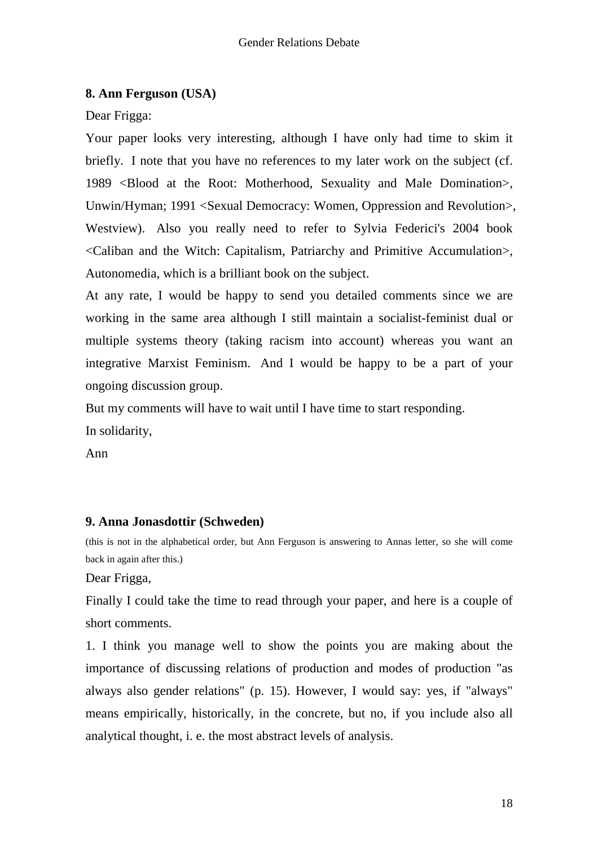# **8. Ann Ferguson (USA)**

Dear Frigga:

Your paper looks very interesting, although I have only had time to skim it briefly. I note that you have no references to my later work on the subject (cf. 1989 <Blood at the Root: Motherhood, Sexuality and Male Domination>, Unwin/Hyman; 1991 <Sexual Democracy: Women, Oppression and Revolution>, Westview). Also you really need to refer to Sylvia Federici's 2004 book <Caliban and the Witch: Capitalism, Patriarchy and Primitive Accumulation>, Autonomedia, which is a brilliant book on the subject.

At any rate, I would be happy to send you detailed comments since we are working in the same area although I still maintain a socialist-feminist dual or multiple systems theory (taking racism into account) whereas you want an integrative Marxist Feminism. And I would be happy to be a part of your ongoing discussion group.

But my comments will have to wait until I have time to start responding.

In solidarity,

Ann

# **9. Anna Jonasdottir (Schweden)**

(this is not in the alphabetical order, but Ann Ferguson is answering to Annas letter, so she will come back in again after this.)

Dear Frigga,

Finally I could take the time to read through your paper, and here is a couple of short comments.

1. I think you manage well to show the points you are making about the importance of discussing relations of production and modes of production "as always also gender relations" (p. 15). However, I would say: yes, if "always" means empirically, historically, in the concrete, but no, if you include also all analytical thought, i. e. the most abstract levels of analysis.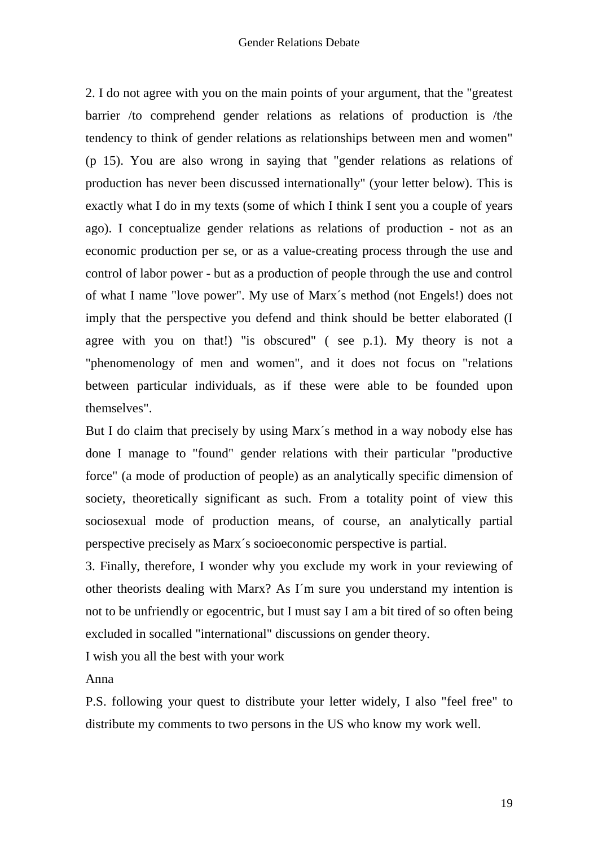2. I do not agree with you on the main points of your argument, that the "greatest barrier /to comprehend gender relations as relations of production is /the tendency to think of gender relations as relationships between men and women" (p 15). You are also wrong in saying that "gender relations as relations of production has never been discussed internationally" (your letter below). This is exactly what I do in my texts (some of which I think I sent you a couple of years ago). I conceptualize gender relations as relations of production - not as an economic production per se, or as a value-creating process through the use and control of labor power - but as a production of people through the use and control of what I name "love power". My use of Marx´s method (not Engels!) does not imply that the perspective you defend and think should be better elaborated (I agree with you on that!) "is obscured" ( see p.1). My theory is not a "phenomenology of men and women", and it does not focus on "relations between particular individuals, as if these were able to be founded upon themselves".

But I do claim that precisely by using Marx´s method in a way nobody else has done I manage to "found" gender relations with their particular "productive force" (a mode of production of people) as an analytically specific dimension of society, theoretically significant as such. From a totality point of view this sociosexual mode of production means, of course, an analytically partial perspective precisely as Marx´s socioeconomic perspective is partial.

3. Finally, therefore, I wonder why you exclude my work in your reviewing of other theorists dealing with Marx? As I´m sure you understand my intention is not to be unfriendly or egocentric, but I must say I am a bit tired of so often being excluded in socalled "international" discussions on gender theory.

I wish you all the best with your work

Anna

P.S. following your quest to distribute your letter widely, I also "feel free" to distribute my comments to two persons in the US who know my work well.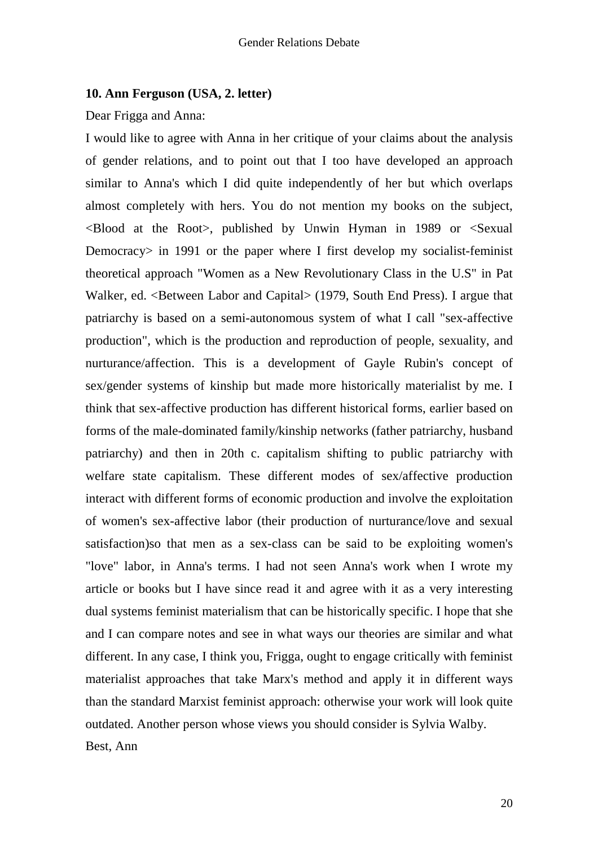#### **10. Ann Ferguson (USA, 2. letter)**

Dear Frigga and Anna:

I would like to agree with Anna in her critique of your claims about the analysis of gender relations, and to point out that I too have developed an approach similar to Anna's which I did quite independently of her but which overlaps almost completely with hers. You do not mention my books on the subject, <Blood at the Root>, published by Unwin Hyman in 1989 or <Sexual Democracy> in 1991 or the paper where I first develop my socialist-feminist theoretical approach "Women as a New Revolutionary Class in the U.S" in Pat Walker, ed. <Between Labor and Capital> (1979, South End Press). I argue that patriarchy is based on a semi-autonomous system of what I call "sex-affective production", which is the production and reproduction of people, sexuality, and nurturance/affection. This is a development of Gayle Rubin's concept of sex/gender systems of kinship but made more historically materialist by me. I think that sex-affective production has different historical forms, earlier based on forms of the male-dominated family/kinship networks (father patriarchy, husband patriarchy) and then in 20th c. capitalism shifting to public patriarchy with welfare state capitalism. These different modes of sex/affective production interact with different forms of economic production and involve the exploitation of women's sex-affective labor (their production of nurturance/love and sexual satisfaction)so that men as a sex-class can be said to be exploiting women's "love" labor, in Anna's terms. I had not seen Anna's work when I wrote my article or books but I have since read it and agree with it as a very interesting dual systems feminist materialism that can be historically specific. I hope that she and I can compare notes and see in what ways our theories are similar and what different. In any case, I think you, Frigga, ought to engage critically with feminist materialist approaches that take Marx's method and apply it in different ways than the standard Marxist feminist approach: otherwise your work will look quite outdated. Another person whose views you should consider is Sylvia Walby. Best, Ann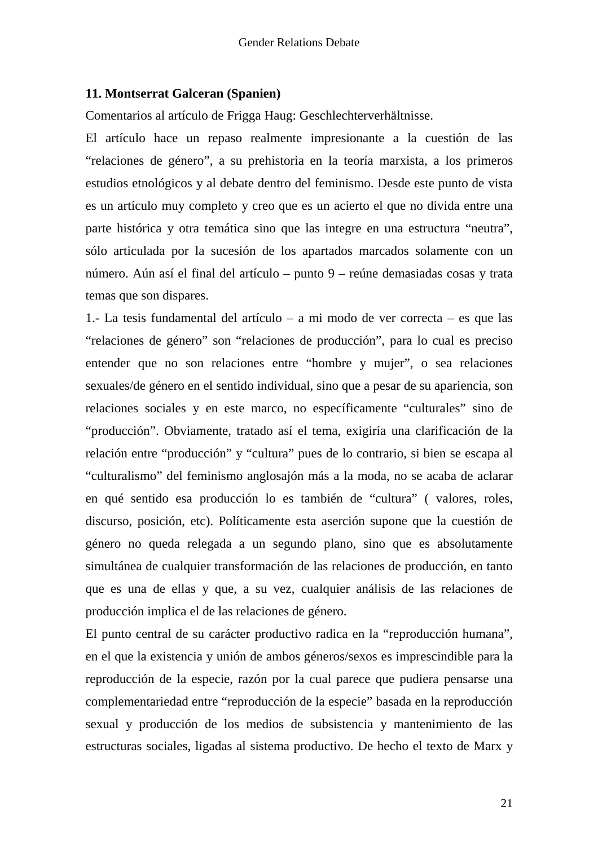## **11. Montserrat Galceran (Spanien)**

Comentarios al artículo de Frigga Haug: Geschlechterverhältnisse.

El artículo hace un repaso realmente impresionante a la cuestión de las "relaciones de género", a su prehistoria en la teoría marxista, a los primeros estudios etnológicos y al debate dentro del feminismo. Desde este punto de vista es un artículo muy completo y creo que es un acierto el que no divida entre una parte histórica y otra temática sino que las integre en una estructura "neutra", sólo articulada por la sucesión de los apartados marcados solamente con un número. Aún así el final del artículo – punto 9 – reúne demasiadas cosas y trata temas que son dispares.

1.- La tesis fundamental del artículo – a mi modo de ver correcta – es que las "relaciones de género" son "relaciones de producción", para lo cual es preciso entender que no son relaciones entre "hombre y mujer", o sea relaciones sexuales/de género en el sentido individual, sino que a pesar de su apariencia, son relaciones sociales y en este marco, no específicamente "culturales" sino de "producción". Obviamente, tratado así el tema, exigiría una clarificación de la relación entre "producción" y "cultura" pues de lo contrario, si bien se escapa al "culturalismo" del feminismo anglosajón más a la moda, no se acaba de aclarar en qué sentido esa producción lo es también de "cultura" ( valores, roles, discurso, posición, etc). Políticamente esta aserción supone que la cuestión de género no queda relegada a un segundo plano, sino que es absolutamente simultánea de cualquier transformación de las relaciones de producción, en tanto que es una de ellas y que, a su vez, cualquier análisis de las relaciones de producción implica el de las relaciones de género.

El punto central de su carácter productivo radica en la "reproducción humana", en el que la existencia y unión de ambos géneros/sexos es imprescindible para la reproducción de la especie, razón por la cual parece que pudiera pensarse una complementariedad entre "reproducción de la especie" basada en la reproducción sexual y producción de los medios de subsistencia y mantenimiento de las estructuras sociales, ligadas al sistema productivo. De hecho el texto de Marx y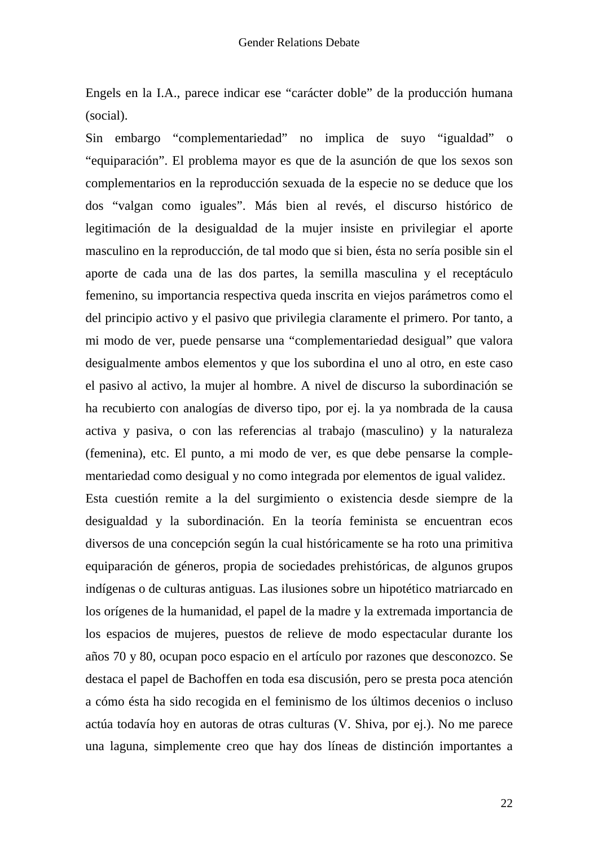Engels en la I.A., parece indicar ese "carácter doble" de la producción humana (social).

Sin embargo "complementariedad" no implica de suyo "igualdad" o "equiparación". El problema mayor es que de la asunción de que los sexos son complementarios en la reproducción sexuada de la especie no se deduce que los dos "valgan como iguales". Más bien al revés, el discurso histórico de legitimación de la desigualdad de la mujer insiste en privilegiar el aporte masculino en la reproducción, de tal modo que si bien, ésta no sería posible sin el aporte de cada una de las dos partes, la semilla masculina y el receptáculo femenino, su importancia respectiva queda inscrita en viejos parámetros como el del principio activo y el pasivo que privilegia claramente el primero. Por tanto, a mi modo de ver, puede pensarse una "complementariedad desigual" que valora desigualmente ambos elementos y que los subordina el uno al otro, en este caso el pasivo al activo, la mujer al hombre. A nivel de discurso la subordinación se ha recubierto con analogías de diverso tipo, por ej. la ya nombrada de la causa activa y pasiva, o con las referencias al trabajo (masculino) y la naturaleza (femenina), etc. El punto, a mi modo de ver, es que debe pensarse la complementariedad como desigual y no como integrada por elementos de igual validez. Esta cuestión remite a la del surgimiento o existencia desde siempre de la desigualdad y la subordinación. En la teoría feminista se encuentran ecos diversos de una concepción según la cual históricamente se ha roto una primitiva equiparación de géneros, propia de sociedades prehistóricas, de algunos grupos indígenas o de culturas antiguas. Las ilusiones sobre un hipotético matriarcado en

los orígenes de la humanidad, el papel de la madre y la extremada importancia de los espacios de mujeres, puestos de relieve de modo espectacular durante los años 70 y 80, ocupan poco espacio en el artículo por razones que desconozco. Se destaca el papel de Bachoffen en toda esa discusión, pero se presta poca atención a cómo ésta ha sido recogida en el feminismo de los últimos decenios o incluso actúa todavía hoy en autoras de otras culturas (V. Shiva, por ej.). No me parece una laguna, simplemente creo que hay dos líneas de distinción importantes a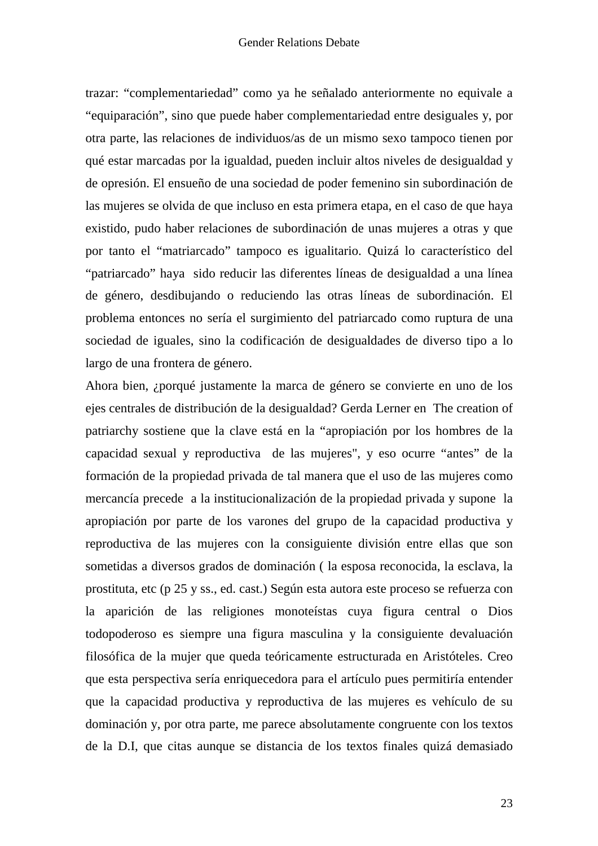trazar: "complementariedad" como ya he señalado anteriormente no equivale a "equiparación", sino que puede haber complementariedad entre desiguales y, por otra parte, las relaciones de individuos/as de un mismo sexo tampoco tienen por qué estar marcadas por la igualdad, pueden incluir altos niveles de desigualdad y de opresión. El ensueño de una sociedad de poder femenino sin subordinación de las mujeres se olvida de que incluso en esta primera etapa, en el caso de que haya existido, pudo haber relaciones de subordinación de unas mujeres a otras y que por tanto el "matriarcado" tampoco es igualitario. Quizá lo característico del "patriarcado" haya sido reducir las diferentes líneas de desigualdad a una línea de género, desdibujando o reduciendo las otras líneas de subordinación. El problema entonces no sería el surgimiento del patriarcado como ruptura de una sociedad de iguales, sino la codificación de desigualdades de diverso tipo a lo largo de una frontera de género.

Ahora bien, ¿porqué justamente la marca de género se convierte en uno de los ejes centrales de distribución de la desigualdad? Gerda Lerner en The creation of patriarchy sostiene que la clave está en la "apropiación por los hombres de la capacidad sexual y reproductiva de las mujeres", y eso ocurre "antes" de la formación de la propiedad privada de tal manera que el uso de las mujeres como mercancía precede a la institucionalización de la propiedad privada y supone la apropiación por parte de los varones del grupo de la capacidad productiva y reproductiva de las mujeres con la consiguiente división entre ellas que son sometidas a diversos grados de dominación ( la esposa reconocida, la esclava, la prostituta, etc (p 25 y ss., ed. cast.) Según esta autora este proceso se refuerza con la aparición de las religiones monoteístas cuya figura central o Dios todopoderoso es siempre una figura masculina y la consiguiente devaluación filosófica de la mujer que queda teóricamente estructurada en Aristóteles. Creo que esta perspectiva sería enriquecedora para el artículo pues permitiría entender que la capacidad productiva y reproductiva de las mujeres es vehículo de su dominación y, por otra parte, me parece absolutamente congruente con los textos de la D.I, que citas aunque se distancia de los textos finales quizá demasiado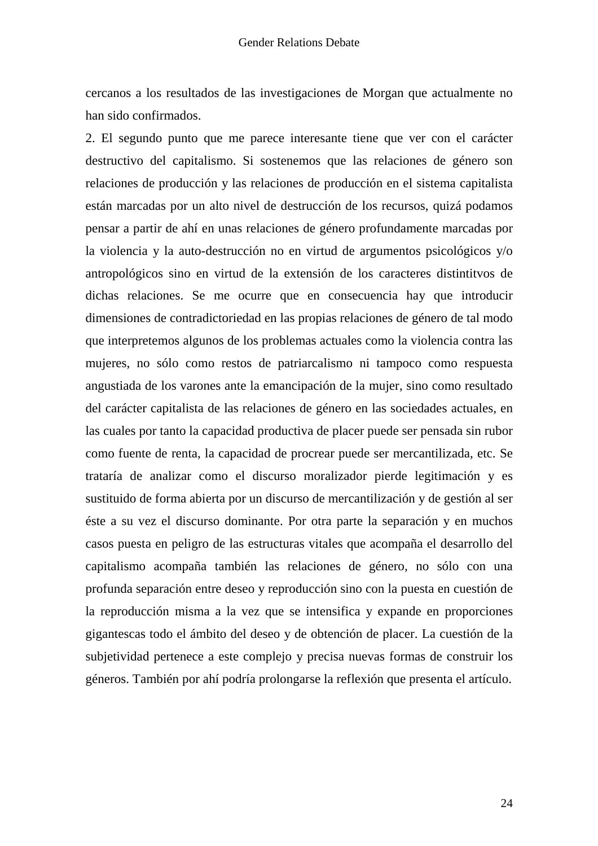cercanos a los resultados de las investigaciones de Morgan que actualmente no han sido confirmados.

2. El segundo punto que me parece interesante tiene que ver con el carácter destructivo del capitalismo. Si sostenemos que las relaciones de género son relaciones de producción y las relaciones de producción en el sistema capitalista están marcadas por un alto nivel de destrucción de los recursos, quizá podamos pensar a partir de ahí en unas relaciones de género profundamente marcadas por la violencia y la auto-destrucción no en virtud de argumentos psicológicos y/o antropológicos sino en virtud de la extensión de los caracteres distintitvos de dichas relaciones. Se me ocurre que en consecuencia hay que introducir dimensiones de contradictoriedad en las propias relaciones de género de tal modo que interpretemos algunos de los problemas actuales como la violencia contra las mujeres, no sólo como restos de patriarcalismo ni tampoco como respuesta angustiada de los varones ante la emancipación de la mujer, sino como resultado del carácter capitalista de las relaciones de género en las sociedades actuales, en las cuales por tanto la capacidad productiva de placer puede ser pensada sin rubor como fuente de renta, la capacidad de procrear puede ser mercantilizada, etc. Se trataría de analizar como el discurso moralizador pierde legitimación y es sustituido de forma abierta por un discurso de mercantilización y de gestión al ser éste a su vez el discurso dominante. Por otra parte la separación y en muchos casos puesta en peligro de las estructuras vitales que acompaña el desarrollo del capitalismo acompaña también las relaciones de género, no sólo con una profunda separación entre deseo y reproducción sino con la puesta en cuestión de la reproducción misma a la vez que se intensifica y expande en proporciones gigantescas todo el ámbito del deseo y de obtención de placer. La cuestión de la subjetividad pertenece a este complejo y precisa nuevas formas de construir los géneros. También por ahí podría prolongarse la reflexión que presenta el artículo.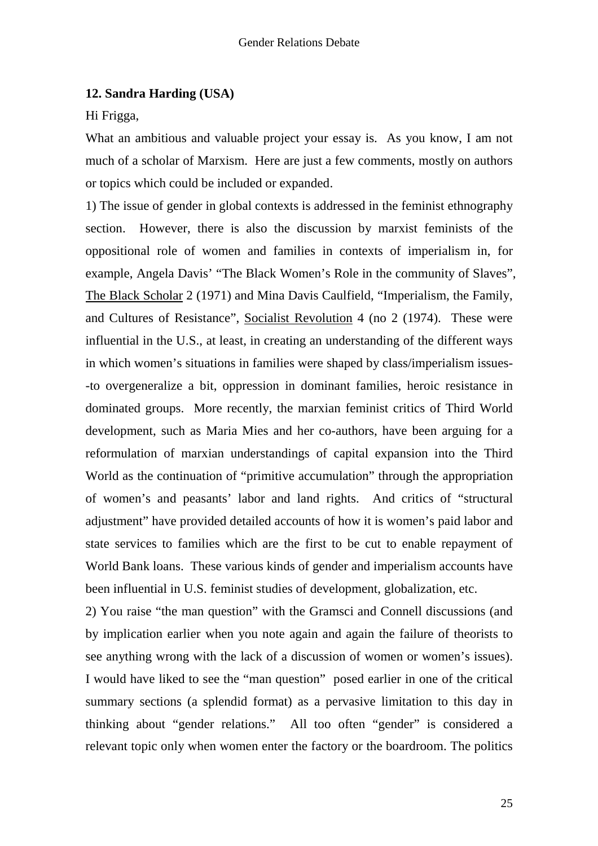## **12. Sandra Harding (USA)**

Hi Frigga,

What an ambitious and valuable project your essay is. As you know, I am not much of a scholar of Marxism. Here are just a few comments, mostly on authors or topics which could be included or expanded.

1) The issue of gender in global contexts is addressed in the feminist ethnography section. However, there is also the discussion by marxist feminists of the oppositional role of women and families in contexts of imperialism in, for example, Angela Davis' "The Black Women's Role in the community of Slaves", The Black Scholar 2 (1971) and Mina Davis Caulfield, "Imperialism, the Family, and Cultures of Resistance", Socialist Revolution 4 (no 2 (1974). These were influential in the U.S., at least, in creating an understanding of the different ways in which women's situations in families were shaped by class/imperialism issues- -to overgeneralize a bit, oppression in dominant families, heroic resistance in dominated groups. More recently, the marxian feminist critics of Third World development, such as Maria Mies and her co-authors, have been arguing for a reformulation of marxian understandings of capital expansion into the Third World as the continuation of "primitive accumulation" through the appropriation of women's and peasants' labor and land rights. And critics of "structural adjustment" have provided detailed accounts of how it is women's paid labor and state services to families which are the first to be cut to enable repayment of World Bank loans. These various kinds of gender and imperialism accounts have been influential in U.S. feminist studies of development, globalization, etc.

2) You raise "the man question" with the Gramsci and Connell discussions (and by implication earlier when you note again and again the failure of theorists to see anything wrong with the lack of a discussion of women or women's issues). I would have liked to see the "man question" posed earlier in one of the critical summary sections (a splendid format) as a pervasive limitation to this day in thinking about "gender relations." All too often "gender" is considered a relevant topic only when women enter the factory or the boardroom. The politics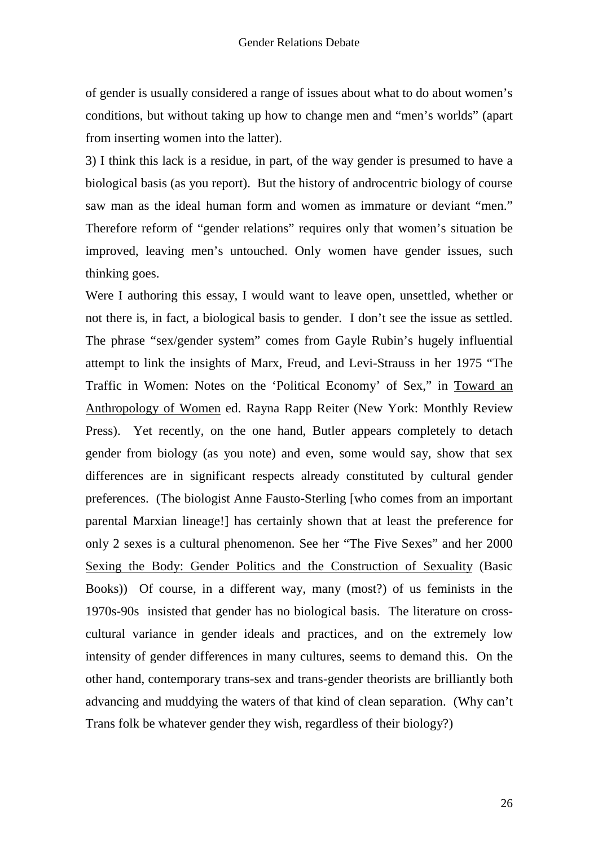of gender is usually considered a range of issues about what to do about women's conditions, but without taking up how to change men and "men's worlds" (apart from inserting women into the latter).

3) I think this lack is a residue, in part, of the way gender is presumed to have a biological basis (as you report). But the history of androcentric biology of course saw man as the ideal human form and women as immature or deviant "men." Therefore reform of "gender relations" requires only that women's situation be improved, leaving men's untouched. Only women have gender issues, such thinking goes.

Were I authoring this essay, I would want to leave open, unsettled, whether or not there is, in fact, a biological basis to gender. I don't see the issue as settled. The phrase "sex/gender system" comes from Gayle Rubin's hugely influential attempt to link the insights of Marx, Freud, and Levi-Strauss in her 1975 "The Traffic in Women: Notes on the 'Political Economy' of Sex," in Toward an Anthropology of Women ed. Rayna Rapp Reiter (New York: Monthly Review Press). Yet recently, on the one hand, Butler appears completely to detach gender from biology (as you note) and even, some would say, show that sex differences are in significant respects already constituted by cultural gender preferences. (The biologist Anne Fausto-Sterling [who comes from an important parental Marxian lineage!] has certainly shown that at least the preference for only 2 sexes is a cultural phenomenon. See her "The Five Sexes" and her 2000 Sexing the Body: Gender Politics and the Construction of Sexuality (Basic Books)) Of course, in a different way, many (most?) of us feminists in the 1970s-90s insisted that gender has no biological basis. The literature on crosscultural variance in gender ideals and practices, and on the extremely low intensity of gender differences in many cultures, seems to demand this. On the other hand, contemporary trans-sex and trans-gender theorists are brilliantly both advancing and muddying the waters of that kind of clean separation. (Why can't Trans folk be whatever gender they wish, regardless of their biology?)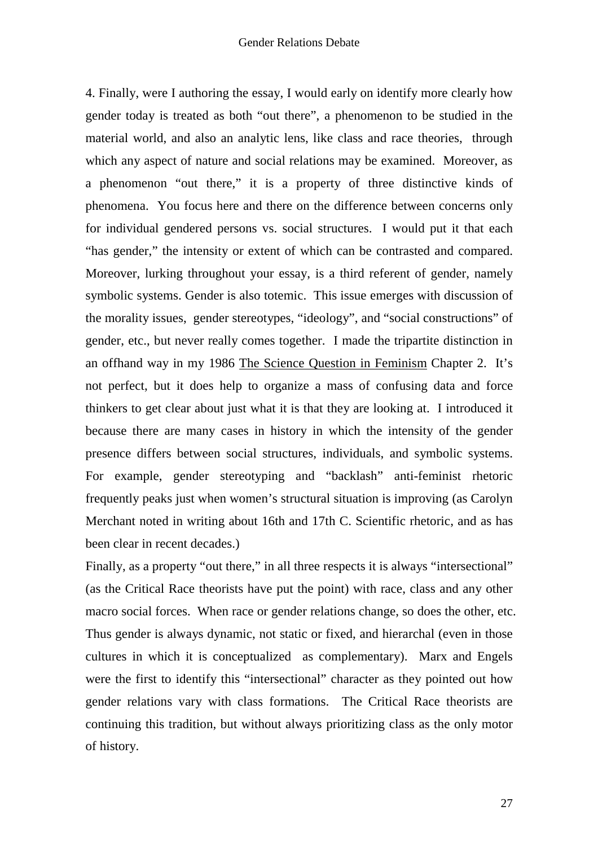4. Finally, were I authoring the essay, I would early on identify more clearly how gender today is treated as both "out there", a phenomenon to be studied in the material world, and also an analytic lens, like class and race theories, through which any aspect of nature and social relations may be examined. Moreover, as a phenomenon "out there," it is a property of three distinctive kinds of phenomena. You focus here and there on the difference between concerns only for individual gendered persons vs. social structures. I would put it that each "has gender," the intensity or extent of which can be contrasted and compared. Moreover, lurking throughout your essay, is a third referent of gender, namely symbolic systems. Gender is also totemic. This issue emerges with discussion of the morality issues, gender stereotypes, "ideology", and "social constructions" of gender, etc., but never really comes together. I made the tripartite distinction in an offhand way in my 1986 The Science Question in Feminism Chapter 2. It's not perfect, but it does help to organize a mass of confusing data and force thinkers to get clear about just what it is that they are looking at. I introduced it because there are many cases in history in which the intensity of the gender presence differs between social structures, individuals, and symbolic systems. For example, gender stereotyping and "backlash" anti-feminist rhetoric frequently peaks just when women's structural situation is improving (as Carolyn Merchant noted in writing about 16th and 17th C. Scientific rhetoric, and as has been clear in recent decades.)

Finally, as a property "out there," in all three respects it is always "intersectional" (as the Critical Race theorists have put the point) with race, class and any other macro social forces. When race or gender relations change, so does the other, etc. Thus gender is always dynamic, not static or fixed, and hierarchal (even in those cultures in which it is conceptualized as complementary). Marx and Engels were the first to identify this "intersectional" character as they pointed out how gender relations vary with class formations. The Critical Race theorists are continuing this tradition, but without always prioritizing class as the only motor of history.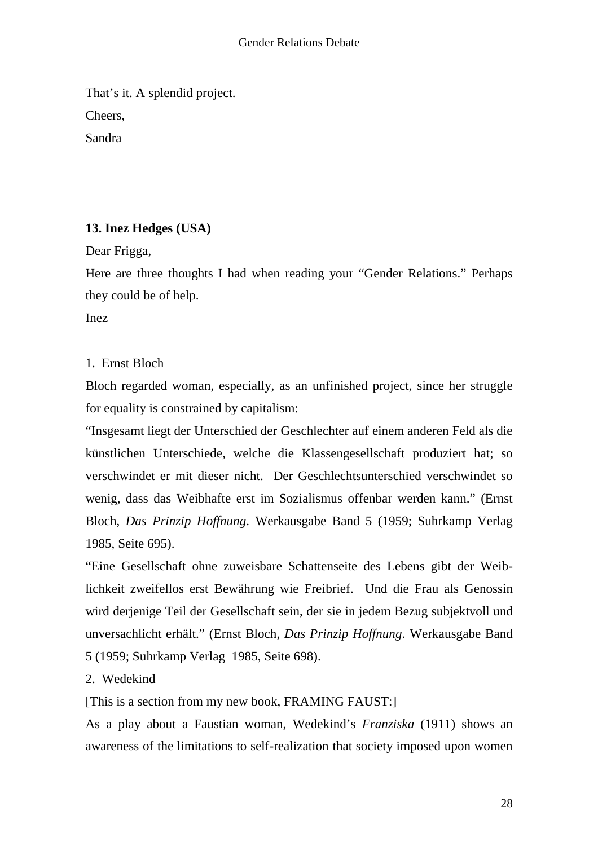That's it. A splendid project. Cheers, Sandra

# **13. Inez Hedges (USA)**

Dear Frigga,

Here are three thoughts I had when reading your "Gender Relations." Perhaps they could be of help.

Inez

# 1. Ernst Bloch

Bloch regarded woman, especially, as an unfinished project, since her struggle for equality is constrained by capitalism:

"Insgesamt liegt der Unterschied der Geschlechter auf einem anderen Feld als die künstlichen Unterschiede, welche die Klassengesellschaft produziert hat; so verschwindet er mit dieser nicht. Der Geschlechtsunterschied verschwindet so wenig, dass das Weibhafte erst im Sozialismus offenbar werden kann." (Ernst Bloch, *Das Prinzip Hoffnung*. Werkausgabe Band 5 (1959; Suhrkamp Verlag 1985, Seite 695).

"Eine Gesellschaft ohne zuweisbare Schattenseite des Lebens gibt der Weiblichkeit zweifellos erst Bewährung wie Freibrief. Und die Frau als Genossin wird derjenige Teil der Gesellschaft sein, der sie in jedem Bezug subjektvoll und unversachlicht erhält." (Ernst Bloch, *Das Prinzip Hoffnung*. Werkausgabe Band 5 (1959; Suhrkamp Verlag 1985, Seite 698).

2. Wedekind

[This is a section from my new book, FRAMING FAUST:]

As a play about a Faustian woman, Wedekind's *Franziska* (1911) shows an awareness of the limitations to self-realization that society imposed upon women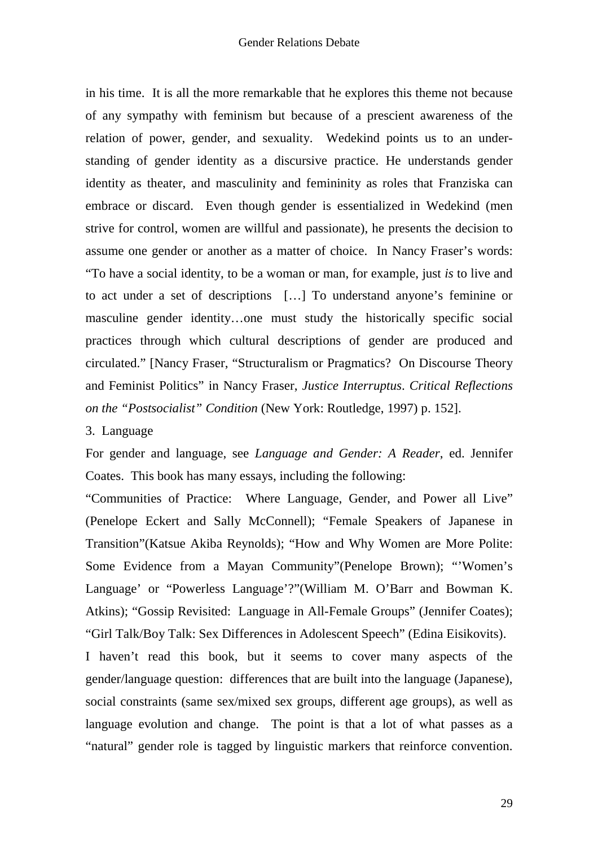in his time. It is all the more remarkable that he explores this theme not because of any sympathy with feminism but because of a prescient awareness of the relation of power, gender, and sexuality. Wedekind points us to an understanding of gender identity as a discursive practice. He understands gender identity as theater, and masculinity and femininity as roles that Franziska can embrace or discard. Even though gender is essentialized in Wedekind (men strive for control, women are willful and passionate), he presents the decision to assume one gender or another as a matter of choice. In Nancy Fraser's words: "To have a social identity, to be a woman or man, for example, just *is* to live and to act under a set of descriptions […] To understand anyone's feminine or masculine gender identity…one must study the historically specific social practices through which cultural descriptions of gender are produced and circulated." [Nancy Fraser, "Structuralism or Pragmatics? On Discourse Theory and Feminist Politics" in Nancy Fraser, *Justice Interruptus*. *Critical Reflections on the "Postsocialist" Condition* (New York: Routledge, 1997) p. 152].

#### 3. Language

For gender and language, see *Language and Gender: A Reader*, ed. Jennifer Coates. This book has many essays, including the following:

"Communities of Practice: Where Language, Gender, and Power all Live" (Penelope Eckert and Sally McConnell); "Female Speakers of Japanese in Transition"(Katsue Akiba Reynolds); "How and Why Women are More Polite: Some Evidence from a Mayan Community"(Penelope Brown); "'Women's Language' or "Powerless Language'?"(William M. O'Barr and Bowman K. Atkins); "Gossip Revisited: Language in All-Female Groups" (Jennifer Coates); "Girl Talk/Boy Talk: Sex Differences in Adolescent Speech" (Edina Eisikovits).

I haven't read this book, but it seems to cover many aspects of the gender/language question: differences that are built into the language (Japanese), social constraints (same sex/mixed sex groups, different age groups), as well as language evolution and change. The point is that a lot of what passes as a "natural" gender role is tagged by linguistic markers that reinforce convention.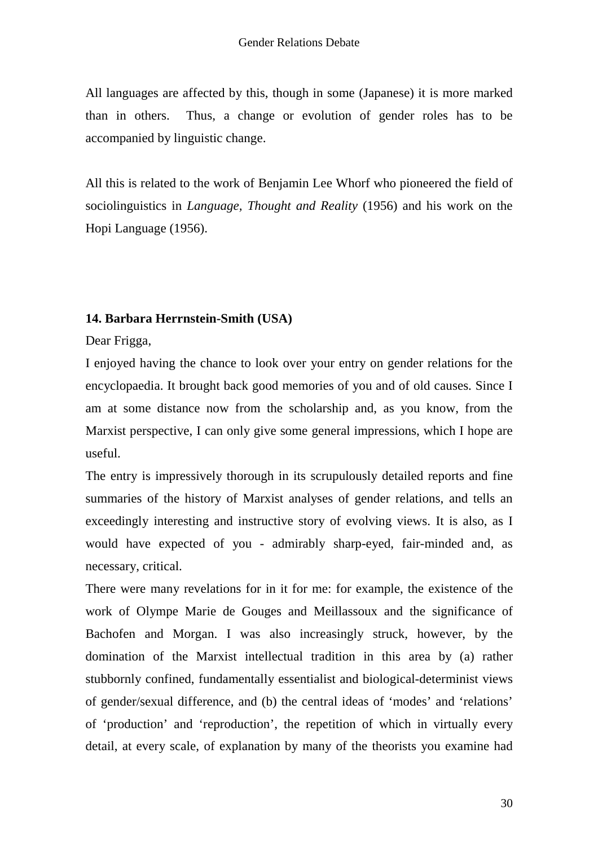All languages are affected by this, though in some (Japanese) it is more marked than in others. Thus, a change or evolution of gender roles has to be accompanied by linguistic change.

All this is related to the work of Benjamin Lee Whorf who pioneered the field of sociolinguistics in *Language, Thought and Reality* (1956) and his work on the Hopi Language (1956).

## **14. Barbara Herrnstein-Smith (USA)**

Dear Frigga,

I enjoyed having the chance to look over your entry on gender relations for the encyclopaedia. It brought back good memories of you and of old causes. Since I am at some distance now from the scholarship and, as you know, from the Marxist perspective, I can only give some general impressions, which I hope are useful.

The entry is impressively thorough in its scrupulously detailed reports and fine summaries of the history of Marxist analyses of gender relations, and tells an exceedingly interesting and instructive story of evolving views. It is also, as I would have expected of you - admirably sharp-eyed, fair-minded and, as necessary, critical.

There were many revelations for in it for me: for example, the existence of the work of Olympe Marie de Gouges and Meillassoux and the significance of Bachofen and Morgan. I was also increasingly struck, however, by the domination of the Marxist intellectual tradition in this area by (a) rather stubbornly confined, fundamentally essentialist and biological-determinist views of gender/sexual difference, and (b) the central ideas of 'modes' and 'relations' of 'production' and 'reproduction', the repetition of which in virtually every detail, at every scale, of explanation by many of the theorists you examine had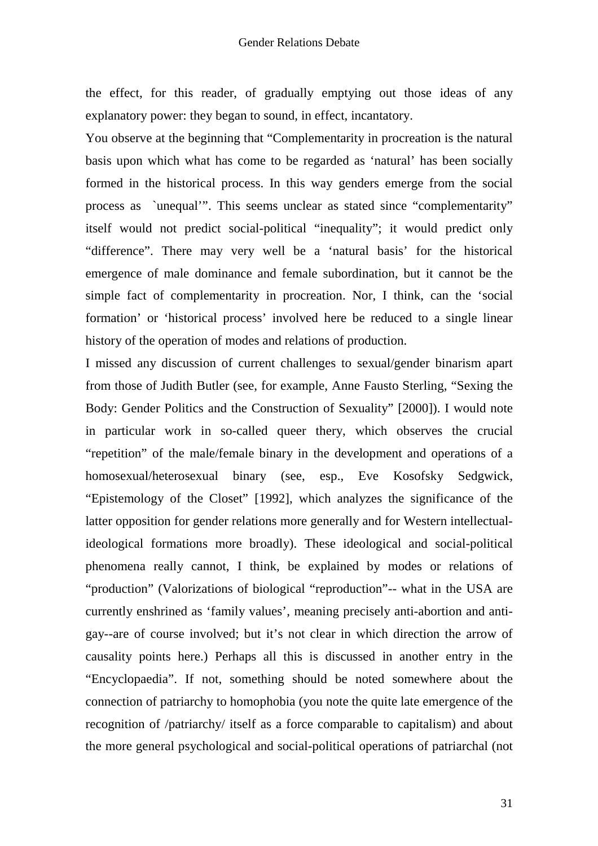the effect, for this reader, of gradually emptying out those ideas of any explanatory power: they began to sound, in effect, incantatory.

You observe at the beginning that "Complementarity in procreation is the natural basis upon which what has come to be regarded as 'natural' has been socially formed in the historical process. In this way genders emerge from the social process as `unequal'". This seems unclear as stated since "complementarity" itself would not predict social-political "inequality"; it would predict only "difference". There may very well be a 'natural basis' for the historical emergence of male dominance and female subordination, but it cannot be the simple fact of complementarity in procreation. Nor, I think, can the 'social formation' or 'historical process' involved here be reduced to a single linear history of the operation of modes and relations of production.

I missed any discussion of current challenges to sexual/gender binarism apart from those of Judith Butler (see, for example, Anne Fausto Sterling, "Sexing the Body: Gender Politics and the Construction of Sexuality" [2000]). I would note in particular work in so-called queer thery, which observes the crucial "repetition" of the male/female binary in the development and operations of a homosexual/heterosexual binary (see, esp., Eve Kosofsky Sedgwick, "Epistemology of the Closet" [1992], which analyzes the significance of the latter opposition for gender relations more generally and for Western intellectualideological formations more broadly). These ideological and social-political phenomena really cannot, I think, be explained by modes or relations of "production" (Valorizations of biological "reproduction"-- what in the USA are currently enshrined as 'family values', meaning precisely anti-abortion and antigay--are of course involved; but it's not clear in which direction the arrow of causality points here.) Perhaps all this is discussed in another entry in the "Encyclopaedia". If not, something should be noted somewhere about the connection of patriarchy to homophobia (you note the quite late emergence of the recognition of /patriarchy/ itself as a force comparable to capitalism) and about the more general psychological and social-political operations of patriarchal (not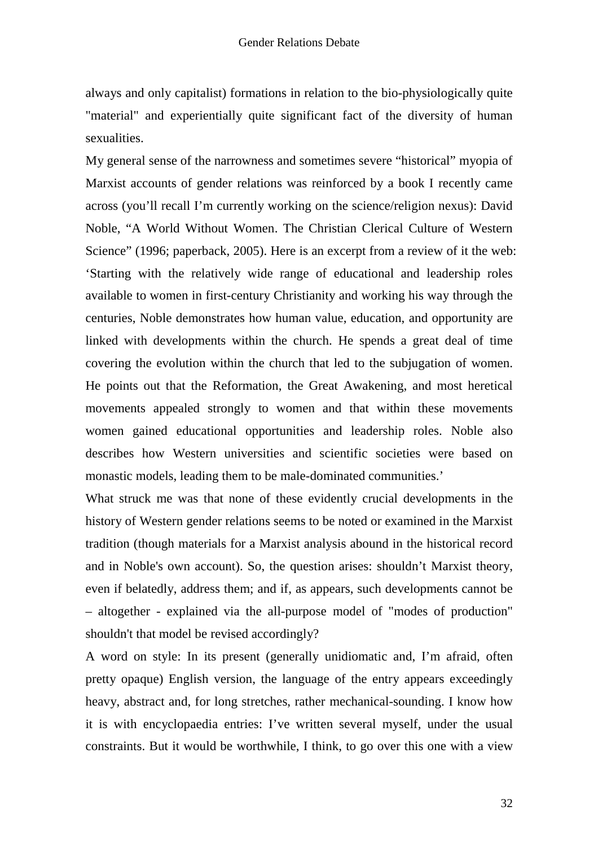always and only capitalist) formations in relation to the bio-physiologically quite "material" and experientially quite significant fact of the diversity of human sexualities.

My general sense of the narrowness and sometimes severe "historical" myopia of Marxist accounts of gender relations was reinforced by a book I recently came across (you'll recall I'm currently working on the science/religion nexus): David Noble, "A World Without Women. The Christian Clerical Culture of Western Science" (1996; paperback, 2005). Here is an excerpt from a review of it the web: 'Starting with the relatively wide range of educational and leadership roles available to women in first-century Christianity and working his way through the centuries, Noble demonstrates how human value, education, and opportunity are linked with developments within the church. He spends a great deal of time covering the evolution within the church that led to the subjugation of women. He points out that the Reformation, the Great Awakening, and most heretical movements appealed strongly to women and that within these movements women gained educational opportunities and leadership roles. Noble also describes how Western universities and scientific societies were based on monastic models, leading them to be male-dominated communities.'

What struck me was that none of these evidently crucial developments in the history of Western gender relations seems to be noted or examined in the Marxist tradition (though materials for a Marxist analysis abound in the historical record and in Noble's own account). So, the question arises: shouldn't Marxist theory, even if belatedly, address them; and if, as appears, such developments cannot be – altogether - explained via the all-purpose model of "modes of production" shouldn't that model be revised accordingly?

A word on style: In its present (generally unidiomatic and, I'm afraid, often pretty opaque) English version, the language of the entry appears exceedingly heavy, abstract and, for long stretches, rather mechanical-sounding. I know how it is with encyclopaedia entries: I've written several myself, under the usual constraints. But it would be worthwhile, I think, to go over this one with a view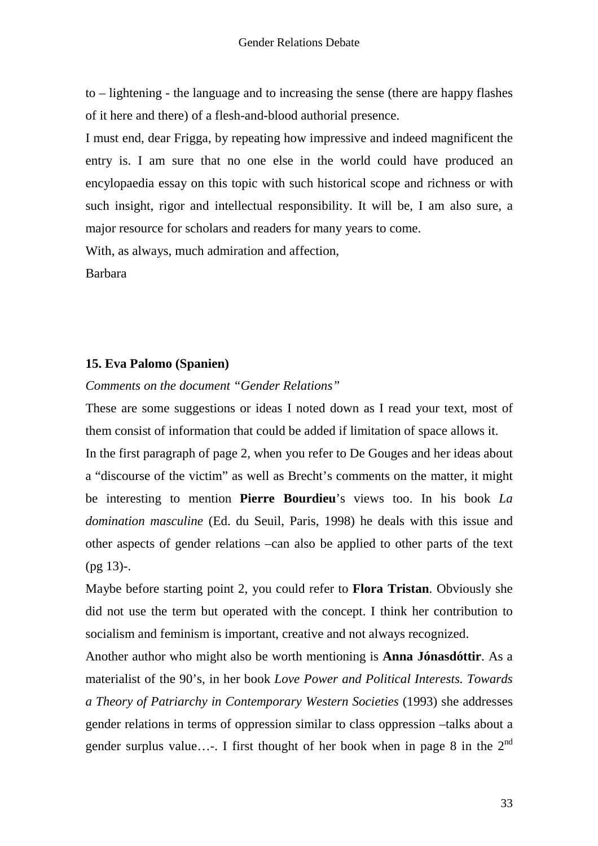to – lightening - the language and to increasing the sense (there are happy flashes of it here and there) of a flesh-and-blood authorial presence.

I must end, dear Frigga, by repeating how impressive and indeed magnificent the entry is. I am sure that no one else in the world could have produced an encylopaedia essay on this topic with such historical scope and richness or with such insight, rigor and intellectual responsibility. It will be, I am also sure, a major resource for scholars and readers for many years to come.

With, as always, much admiration and affection,

Barbara

## **15. Eva Palomo (Spanien)**

*Comments on the document "Gender Relations"* 

These are some suggestions or ideas I noted down as I read your text, most of them consist of information that could be added if limitation of space allows it.

In the first paragraph of page 2, when you refer to De Gouges and her ideas about a "discourse of the victim" as well as Brecht's comments on the matter, it might be interesting to mention **Pierre Bourdieu**'s views too. In his book *La domination masculine* (Ed. du Seuil, Paris, 1998) he deals with this issue and other aspects of gender relations –can also be applied to other parts of the text  $(pg 13)$ -.

Maybe before starting point 2, you could refer to **Flora Tristan**. Obviously she did not use the term but operated with the concept. I think her contribution to socialism and feminism is important, creative and not always recognized.

Another author who might also be worth mentioning is **Anna Jónasdóttir**. As a materialist of the 90's, in her book *Love Power and Political Interests. Towards a Theory of Patriarchy in Contemporary Western Societies* (1993) she addresses gender relations in terms of oppression similar to class oppression –talks about a gender surplus value...-. I first thought of her book when in page 8 in the  $2^{nd}$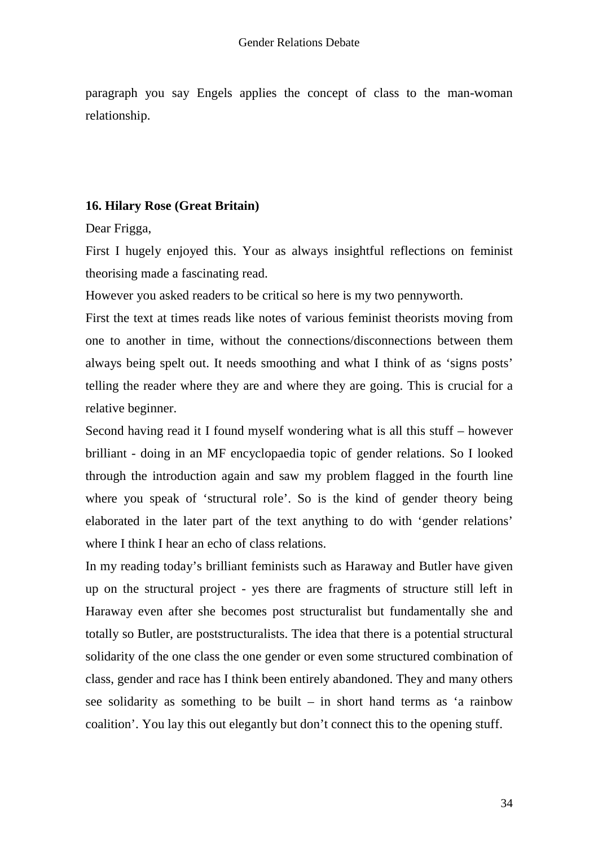paragraph you say Engels applies the concept of class to the man-woman relationship.

# **16. Hilary Rose (Great Britain)**

Dear Frigga,

First I hugely enjoyed this. Your as always insightful reflections on feminist theorising made a fascinating read.

However you asked readers to be critical so here is my two pennyworth.

First the text at times reads like notes of various feminist theorists moving from one to another in time, without the connections/disconnections between them always being spelt out. It needs smoothing and what I think of as 'signs posts' telling the reader where they are and where they are going. This is crucial for a relative beginner.

Second having read it I found myself wondering what is all this stuff – however brilliant - doing in an MF encyclopaedia topic of gender relations. So I looked through the introduction again and saw my problem flagged in the fourth line where you speak of 'structural role'. So is the kind of gender theory being elaborated in the later part of the text anything to do with 'gender relations' where I think I hear an echo of class relations.

In my reading today's brilliant feminists such as Haraway and Butler have given up on the structural project - yes there are fragments of structure still left in Haraway even after she becomes post structuralist but fundamentally she and totally so Butler, are poststructuralists. The idea that there is a potential structural solidarity of the one class the one gender or even some structured combination of class, gender and race has I think been entirely abandoned. They and many others see solidarity as something to be built – in short hand terms as 'a rainbow coalition'. You lay this out elegantly but don't connect this to the opening stuff.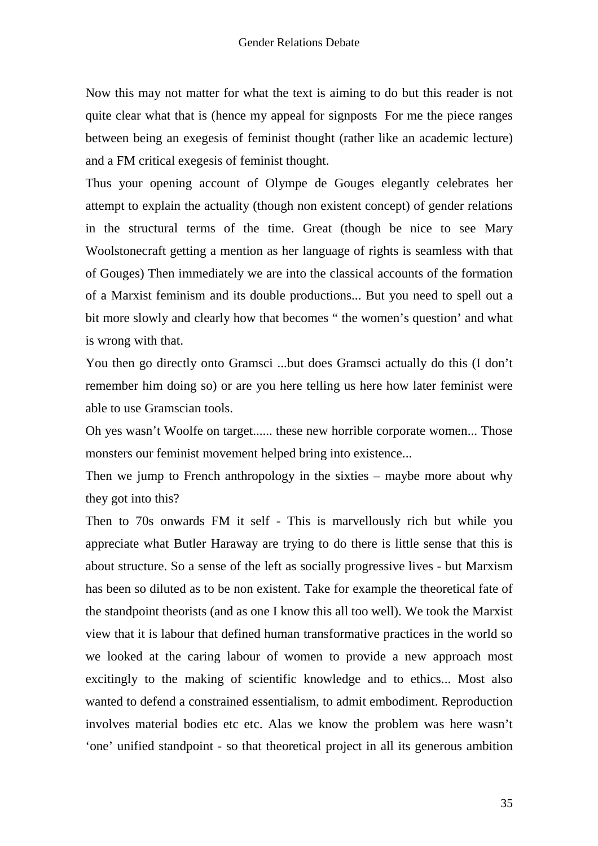Now this may not matter for what the text is aiming to do but this reader is not quite clear what that is (hence my appeal for signposts For me the piece ranges between being an exegesis of feminist thought (rather like an academic lecture) and a FM critical exegesis of feminist thought.

Thus your opening account of Olympe de Gouges elegantly celebrates her attempt to explain the actuality (though non existent concept) of gender relations in the structural terms of the time. Great (though be nice to see Mary Woolstonecraft getting a mention as her language of rights is seamless with that of Gouges) Then immediately we are into the classical accounts of the formation of a Marxist feminism and its double productions... But you need to spell out a bit more slowly and clearly how that becomes " the women's question' and what is wrong with that.

You then go directly onto Gramsci ...but does Gramsci actually do this (I don't remember him doing so) or are you here telling us here how later feminist were able to use Gramscian tools.

Oh yes wasn't Woolfe on target...... these new horrible corporate women... Those monsters our feminist movement helped bring into existence...

Then we jump to French anthropology in the sixties – maybe more about why they got into this?

Then to 70s onwards FM it self - This is marvellously rich but while you appreciate what Butler Haraway are trying to do there is little sense that this is about structure. So a sense of the left as socially progressive lives - but Marxism has been so diluted as to be non existent. Take for example the theoretical fate of the standpoint theorists (and as one I know this all too well). We took the Marxist view that it is labour that defined human transformative practices in the world so we looked at the caring labour of women to provide a new approach most excitingly to the making of scientific knowledge and to ethics... Most also wanted to defend a constrained essentialism, to admit embodiment. Reproduction involves material bodies etc etc. Alas we know the problem was here wasn't 'one' unified standpoint - so that theoretical project in all its generous ambition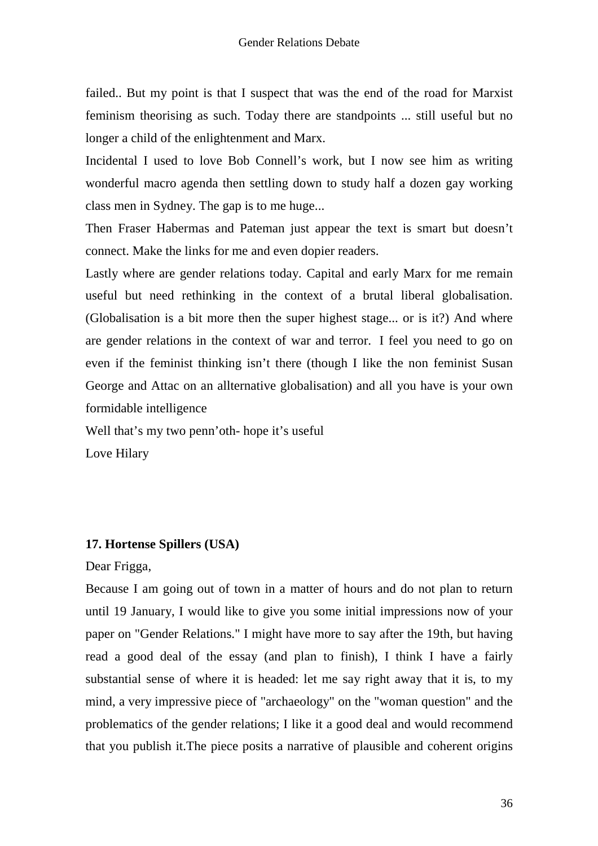failed.. But my point is that I suspect that was the end of the road for Marxist feminism theorising as such. Today there are standpoints ... still useful but no longer a child of the enlightenment and Marx.

Incidental I used to love Bob Connell's work, but I now see him as writing wonderful macro agenda then settling down to study half a dozen gay working class men in Sydney. The gap is to me huge...

Then Fraser Habermas and Pateman just appear the text is smart but doesn't connect. Make the links for me and even dopier readers.

Lastly where are gender relations today. Capital and early Marx for me remain useful but need rethinking in the context of a brutal liberal globalisation. (Globalisation is a bit more then the super highest stage... or is it?) And where are gender relations in the context of war and terror. I feel you need to go on even if the feminist thinking isn't there (though I like the non feminist Susan George and Attac on an allternative globalisation) and all you have is your own formidable intelligence

Well that's my two penn'oth- hope it's useful

Love Hilary

#### **17. Hortense Spillers (USA)**

## Dear Frigga,

Because I am going out of town in a matter of hours and do not plan to return until 19 January, I would like to give you some initial impressions now of your paper on "Gender Relations." I might have more to say after the 19th, but having read a good deal of the essay (and plan to finish), I think I have a fairly substantial sense of where it is headed: let me say right away that it is, to my mind, a very impressive piece of "archaeology" on the "woman question" and the problematics of the gender relations; I like it a good deal and would recommend that you publish it.The piece posits a narrative of plausible and coherent origins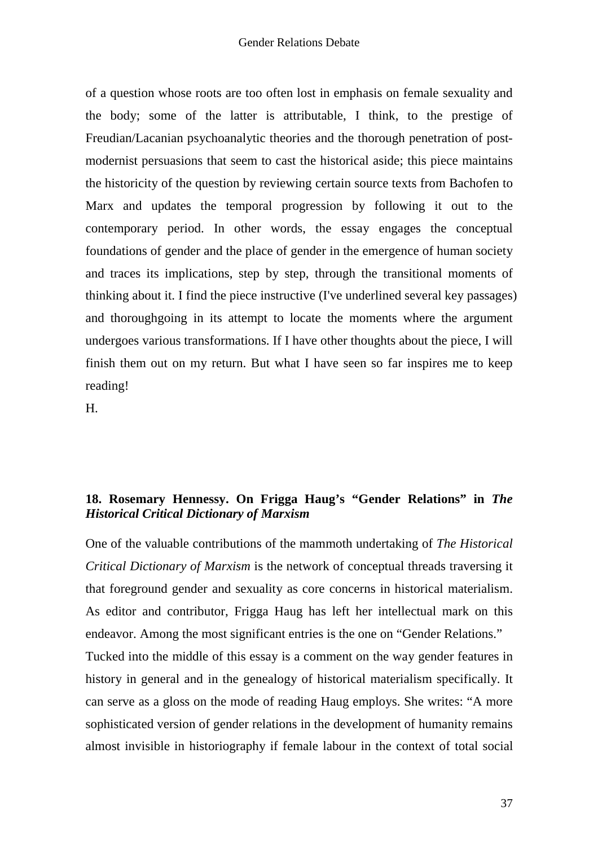of a question whose roots are too often lost in emphasis on female sexuality and the body; some of the latter is attributable, I think, to the prestige of Freudian/Lacanian psychoanalytic theories and the thorough penetration of postmodernist persuasions that seem to cast the historical aside; this piece maintains the historicity of the question by reviewing certain source texts from Bachofen to Marx and updates the temporal progression by following it out to the contemporary period. In other words, the essay engages the conceptual foundations of gender and the place of gender in the emergence of human society and traces its implications, step by step, through the transitional moments of thinking about it. I find the piece instructive (I've underlined several key passages) and thoroughgoing in its attempt to locate the moments where the argument undergoes various transformations. If I have other thoughts about the piece, I will finish them out on my return. But what I have seen so far inspires me to keep reading!

H.

# **18. Rosemary Hennessy. On Frigga Haug's "Gender Relations" in** *The Historical Critical Dictionary of Marxism*

One of the valuable contributions of the mammoth undertaking of *The Historical Critical Dictionary of Marxism* is the network of conceptual threads traversing it that foreground gender and sexuality as core concerns in historical materialism. As editor and contributor, Frigga Haug has left her intellectual mark on this endeavor. Among the most significant entries is the one on "Gender Relations." Tucked into the middle of this essay is a comment on the way gender features in history in general and in the genealogy of historical materialism specifically. It can serve as a gloss on the mode of reading Haug employs. She writes: "A more sophisticated version of gender relations in the development of humanity remains almost invisible in historiography if female labour in the context of total social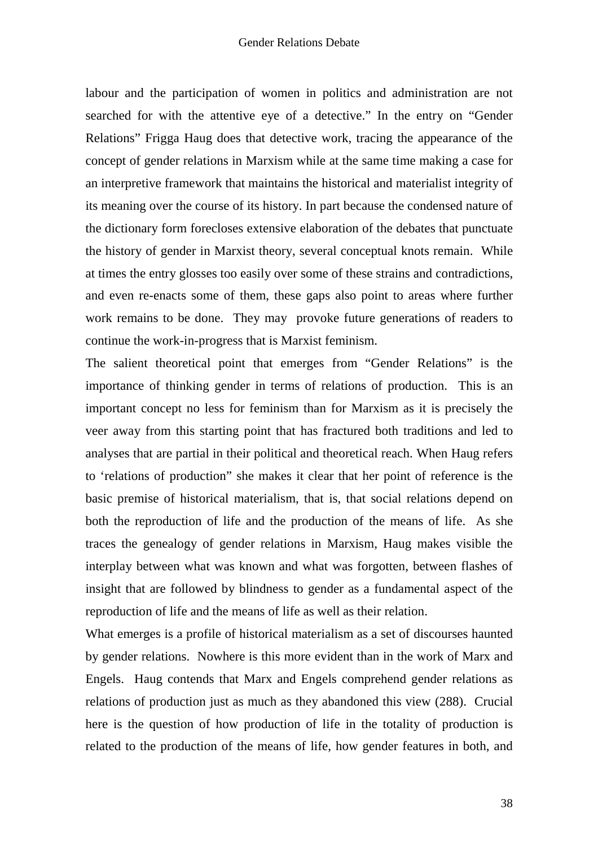labour and the participation of women in politics and administration are not searched for with the attentive eye of a detective." In the entry on "Gender Relations" Frigga Haug does that detective work, tracing the appearance of the concept of gender relations in Marxism while at the same time making a case for an interpretive framework that maintains the historical and materialist integrity of its meaning over the course of its history. In part because the condensed nature of the dictionary form forecloses extensive elaboration of the debates that punctuate the history of gender in Marxist theory, several conceptual knots remain. While at times the entry glosses too easily over some of these strains and contradictions, and even re-enacts some of them, these gaps also point to areas where further work remains to be done. They may provoke future generations of readers to continue the work-in-progress that is Marxist feminism.

The salient theoretical point that emerges from "Gender Relations" is the importance of thinking gender in terms of relations of production. This is an important concept no less for feminism than for Marxism as it is precisely the veer away from this starting point that has fractured both traditions and led to analyses that are partial in their political and theoretical reach. When Haug refers to 'relations of production" she makes it clear that her point of reference is the basic premise of historical materialism, that is, that social relations depend on both the reproduction of life and the production of the means of life. As she traces the genealogy of gender relations in Marxism, Haug makes visible the interplay between what was known and what was forgotten, between flashes of insight that are followed by blindness to gender as a fundamental aspect of the reproduction of life and the means of life as well as their relation.

What emerges is a profile of historical materialism as a set of discourses haunted by gender relations. Nowhere is this more evident than in the work of Marx and Engels. Haug contends that Marx and Engels comprehend gender relations as relations of production just as much as they abandoned this view (288). Crucial here is the question of how production of life in the totality of production is related to the production of the means of life, how gender features in both, and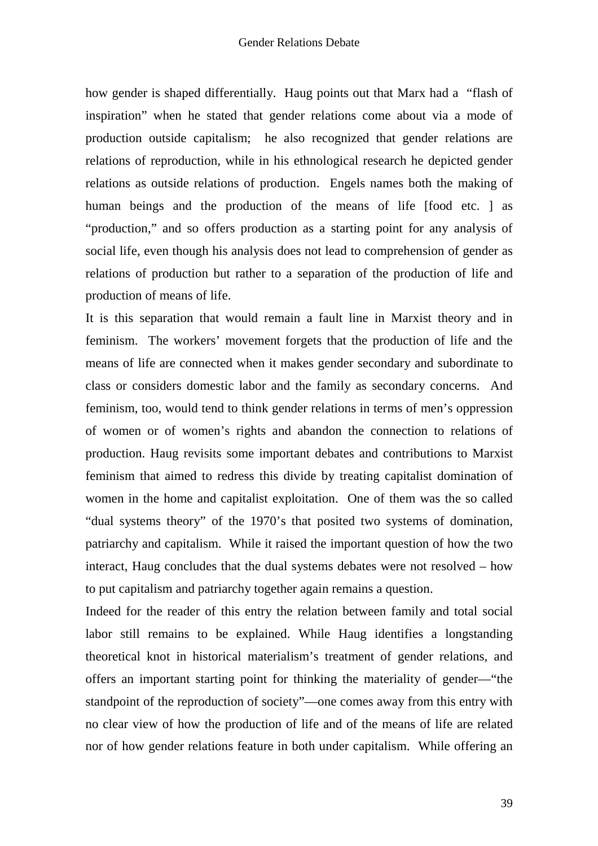how gender is shaped differentially. Haug points out that Marx had a "flash of inspiration" when he stated that gender relations come about via a mode of production outside capitalism; he also recognized that gender relations are relations of reproduction, while in his ethnological research he depicted gender relations as outside relations of production. Engels names both the making of human beings and the production of the means of life [food etc. ] as "production," and so offers production as a starting point for any analysis of social life, even though his analysis does not lead to comprehension of gender as relations of production but rather to a separation of the production of life and production of means of life.

It is this separation that would remain a fault line in Marxist theory and in feminism. The workers' movement forgets that the production of life and the means of life are connected when it makes gender secondary and subordinate to class or considers domestic labor and the family as secondary concerns. And feminism, too, would tend to think gender relations in terms of men's oppression of women or of women's rights and abandon the connection to relations of production. Haug revisits some important debates and contributions to Marxist feminism that aimed to redress this divide by treating capitalist domination of women in the home and capitalist exploitation. One of them was the so called "dual systems theory" of the 1970's that posited two systems of domination, patriarchy and capitalism. While it raised the important question of how the two interact, Haug concludes that the dual systems debates were not resolved – how to put capitalism and patriarchy together again remains a question.

Indeed for the reader of this entry the relation between family and total social labor still remains to be explained. While Haug identifies a longstanding theoretical knot in historical materialism's treatment of gender relations, and offers an important starting point for thinking the materiality of gender—"the standpoint of the reproduction of society"—one comes away from this entry with no clear view of how the production of life and of the means of life are related nor of how gender relations feature in both under capitalism. While offering an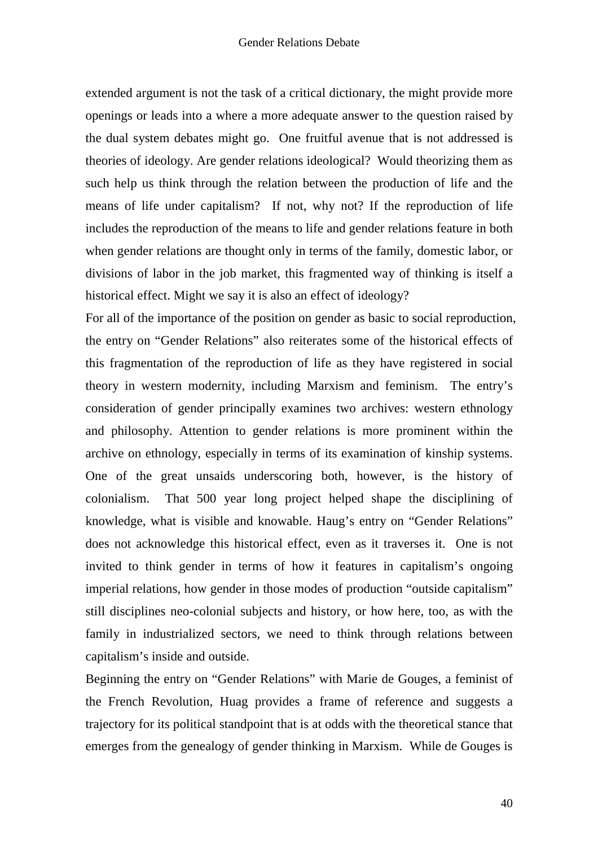extended argument is not the task of a critical dictionary, the might provide more openings or leads into a where a more adequate answer to the question raised by the dual system debates might go. One fruitful avenue that is not addressed is theories of ideology. Are gender relations ideological? Would theorizing them as such help us think through the relation between the production of life and the means of life under capitalism? If not, why not? If the reproduction of life includes the reproduction of the means to life and gender relations feature in both when gender relations are thought only in terms of the family, domestic labor, or divisions of labor in the job market, this fragmented way of thinking is itself a historical effect. Might we say it is also an effect of ideology?

For all of the importance of the position on gender as basic to social reproduction, the entry on "Gender Relations" also reiterates some of the historical effects of this fragmentation of the reproduction of life as they have registered in social theory in western modernity, including Marxism and feminism. The entry's consideration of gender principally examines two archives: western ethnology and philosophy. Attention to gender relations is more prominent within the archive on ethnology, especially in terms of its examination of kinship systems. One of the great unsaids underscoring both, however, is the history of colonialism. That 500 year long project helped shape the disciplining of knowledge, what is visible and knowable. Haug's entry on "Gender Relations" does not acknowledge this historical effect, even as it traverses it. One is not invited to think gender in terms of how it features in capitalism's ongoing imperial relations, how gender in those modes of production "outside capitalism" still disciplines neo-colonial subjects and history, or how here, too, as with the family in industrialized sectors, we need to think through relations between capitalism's inside and outside.

Beginning the entry on "Gender Relations" with Marie de Gouges, a feminist of the French Revolution, Huag provides a frame of reference and suggests a trajectory for its political standpoint that is at odds with the theoretical stance that emerges from the genealogy of gender thinking in Marxism. While de Gouges is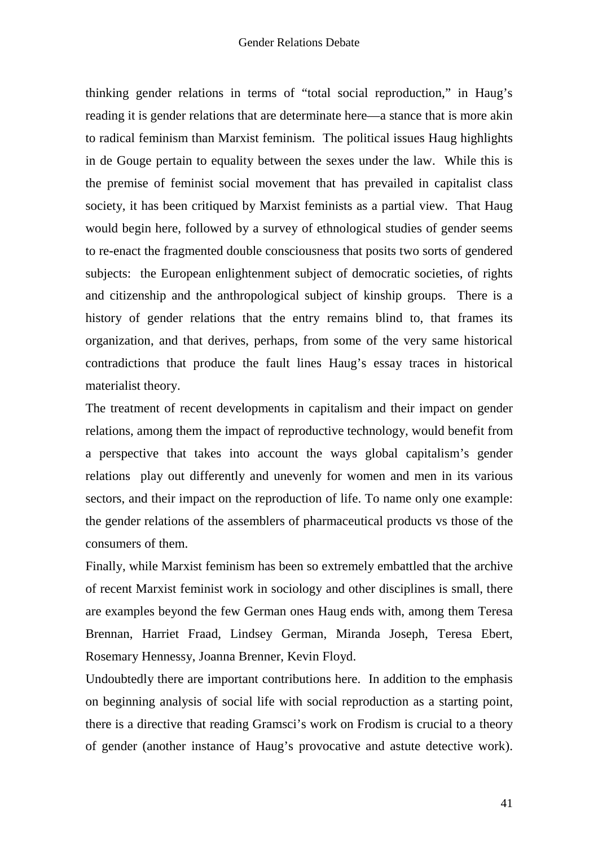thinking gender relations in terms of "total social reproduction," in Haug's reading it is gender relations that are determinate here—a stance that is more akin to radical feminism than Marxist feminism. The political issues Haug highlights in de Gouge pertain to equality between the sexes under the law. While this is the premise of feminist social movement that has prevailed in capitalist class society, it has been critiqued by Marxist feminists as a partial view. That Haug would begin here, followed by a survey of ethnological studies of gender seems to re-enact the fragmented double consciousness that posits two sorts of gendered subjects: the European enlightenment subject of democratic societies, of rights and citizenship and the anthropological subject of kinship groups. There is a history of gender relations that the entry remains blind to, that frames its organization, and that derives, perhaps, from some of the very same historical contradictions that produce the fault lines Haug's essay traces in historical materialist theory.

The treatment of recent developments in capitalism and their impact on gender relations, among them the impact of reproductive technology, would benefit from a perspective that takes into account the ways global capitalism's gender relations play out differently and unevenly for women and men in its various sectors, and their impact on the reproduction of life. To name only one example: the gender relations of the assemblers of pharmaceutical products vs those of the consumers of them.

Finally, while Marxist feminism has been so extremely embattled that the archive of recent Marxist feminist work in sociology and other disciplines is small, there are examples beyond the few German ones Haug ends with, among them Teresa Brennan, Harriet Fraad, Lindsey German, Miranda Joseph, Teresa Ebert, Rosemary Hennessy, Joanna Brenner, Kevin Floyd.

Undoubtedly there are important contributions here. In addition to the emphasis on beginning analysis of social life with social reproduction as a starting point, there is a directive that reading Gramsci's work on Frodism is crucial to a theory of gender (another instance of Haug's provocative and astute detective work).